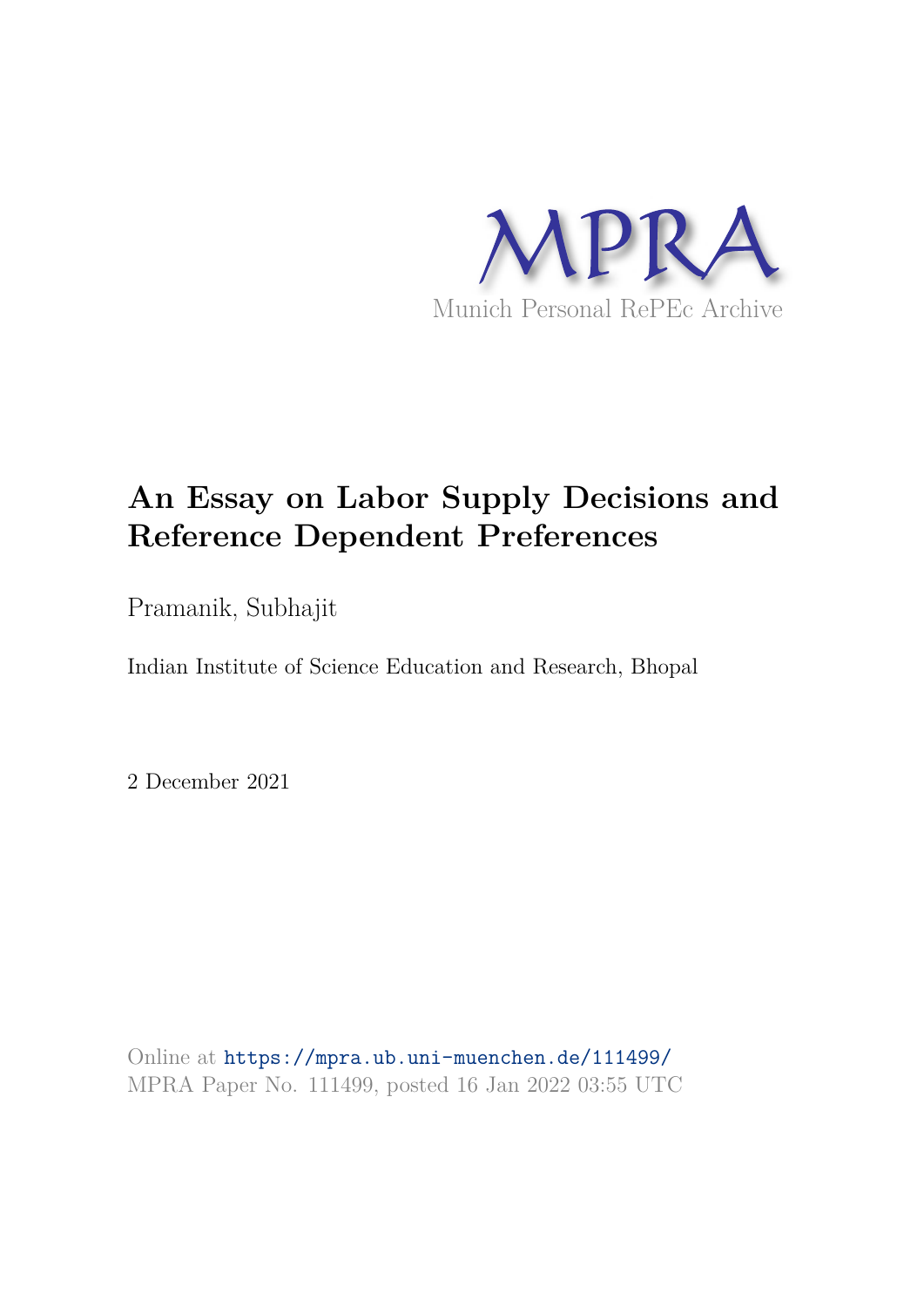

# **An Essay on Labor Supply Decisions and Reference Dependent Preferences**

Pramanik, Subhajit

Indian Institute of Science Education and Research, Bhopal

2 December 2021

Online at https://mpra.ub.uni-muenchen.de/111499/ MPRA Paper No. 111499, posted 16 Jan 2022 03:55 UTC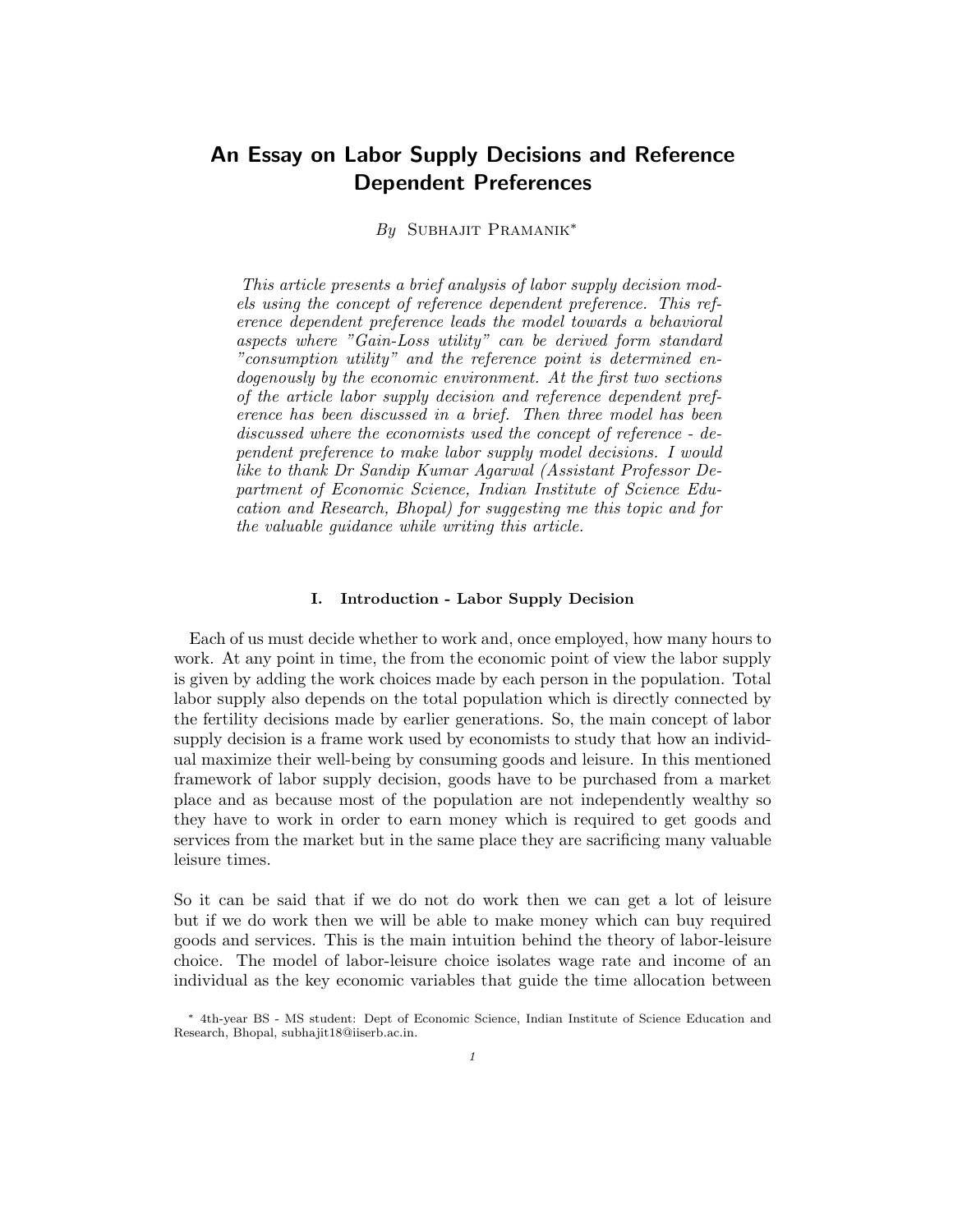# An Essay on Labor Supply Decisions and Reference Dependent Preferences

*By* Subhajit Pramanik<sup>∗</sup>

*This article presents a brief analysis of labor supply decision models using the concept of reference dependent preference. This reference dependent preference leads the model towards a behavioral aspects where "Gain-Loss utility" can be derived form standard "consumption utility" and the reference point is determined endogenously by the economic environment. At the first two sections of the article labor supply decision and reference dependent preference has been discussed in a brief. Then three model has been discussed where the economists used the concept of reference - dependent preference to make labor supply model decisions. I would like to thank Dr Sandip Kumar Agarwal (Assistant Professor Department of Economic Science, Indian Institute of Science Education and Research, Bhopal) for suggesting me this topic and for the valuable guidance while writing this article.*

#### I. Introduction - Labor Supply Decision

Each of us must decide whether to work and, once employed, how many hours to work. At any point in time, the from the economic point of view the labor supply is given by adding the work choices made by each person in the population. Total labor supply also depends on the total population which is directly connected by the fertility decisions made by earlier generations. So, the main concept of labor supply decision is a frame work used by economists to study that how an individual maximize their well-being by consuming goods and leisure. In this mentioned framework of labor supply decision, goods have to be purchased from a market place and as because most of the population are not independently wealthy so they have to work in order to earn money which is required to get goods and services from the market but in the same place they are sacrificing many valuable leisure times.

So it can be said that if we do not do work then we can get a lot of leisure but if we do work then we will be able to make money which can buy required goods and services. This is the main intuition behind the theory of labor-leisure choice. The model of labor-leisure choice isolates wage rate and income of an individual as the key economic variables that guide the time allocation between

<sup>∗</sup> 4th-year BS - MS student: Dept of Economic Science, Indian Institute of Science Education and Research, Bhopal, subhajit18@iiserb.ac.in.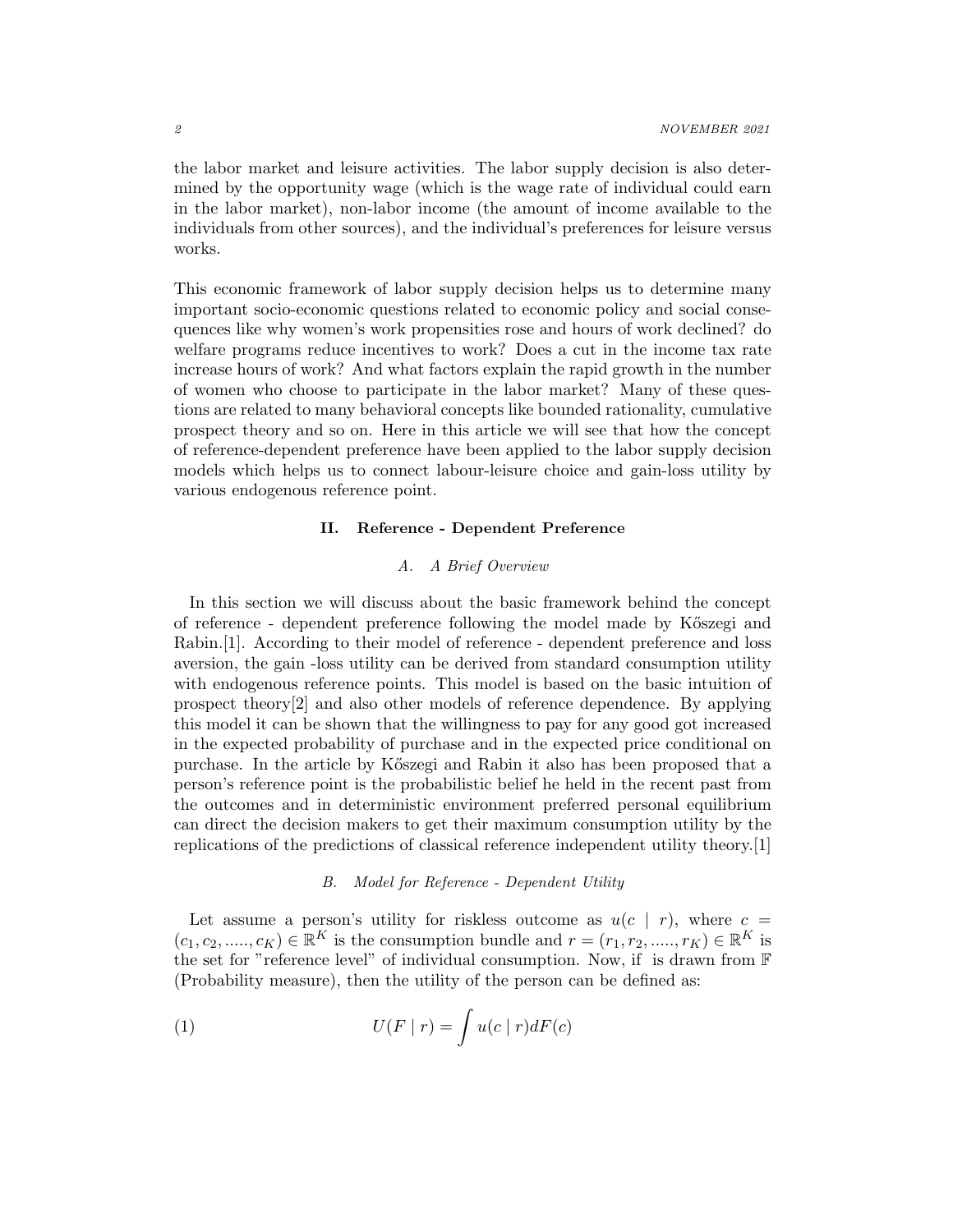the labor market and leisure activities. The labor supply decision is also determined by the opportunity wage (which is the wage rate of individual could earn in the labor market), non-labor income (the amount of income available to the individuals from other sources), and the individual's preferences for leisure versus works.

This economic framework of labor supply decision helps us to determine many important socio-economic questions related to economic policy and social consequences like why women's work propensities rose and hours of work declined? do welfare programs reduce incentives to work? Does a cut in the income tax rate increase hours of work? And what factors explain the rapid growth in the number of women who choose to participate in the labor market? Many of these questions are related to many behavioral concepts like bounded rationality, cumulative prospect theory and so on. Here in this article we will see that how the concept of reference-dependent preference have been applied to the labor supply decision models which helps us to connect labour-leisure choice and gain-loss utility by various endogenous reference point.

#### II. Reference - Dependent Preference

## *A. A Brief Overview*

In this section we will discuss about the basic framework behind the concept of reference - dependent preference following the model made by K˝oszegi and Rabin.[1]. According to their model of reference - dependent preference and loss aversion, the gain -loss utility can be derived from standard consumption utility with endogenous reference points. This model is based on the basic intuition of prospect theory[2] and also other models of reference dependence. By applying this model it can be shown that the willingness to pay for any good got increased in the expected probability of purchase and in the expected price conditional on purchase. In the article by K˝oszegi and Rabin it also has been proposed that a person's reference point is the probabilistic belief he held in the recent past from the outcomes and in deterministic environment preferred personal equilibrium can direct the decision makers to get their maximum consumption utility by the replications of the predictions of classical reference independent utility theory.[1]

#### *B. Model for Reference - Dependent Utility*

Let assume a person's utility for riskless outcome as  $u(c | r)$ , where  $c =$  $(c_1, c_2, \ldots, c_K) \in \mathbb{R}^K$  is the consumption bundle and  $r = (r_1, r_2, \ldots, r_K) \in \mathbb{R}^K$  is the set for "reference level" of individual consumption. Now, if is drawn from F (Probability measure), then the utility of the person can be defined as:

(1) 
$$
U(F | r) = \int u(c | r) dF(c)
$$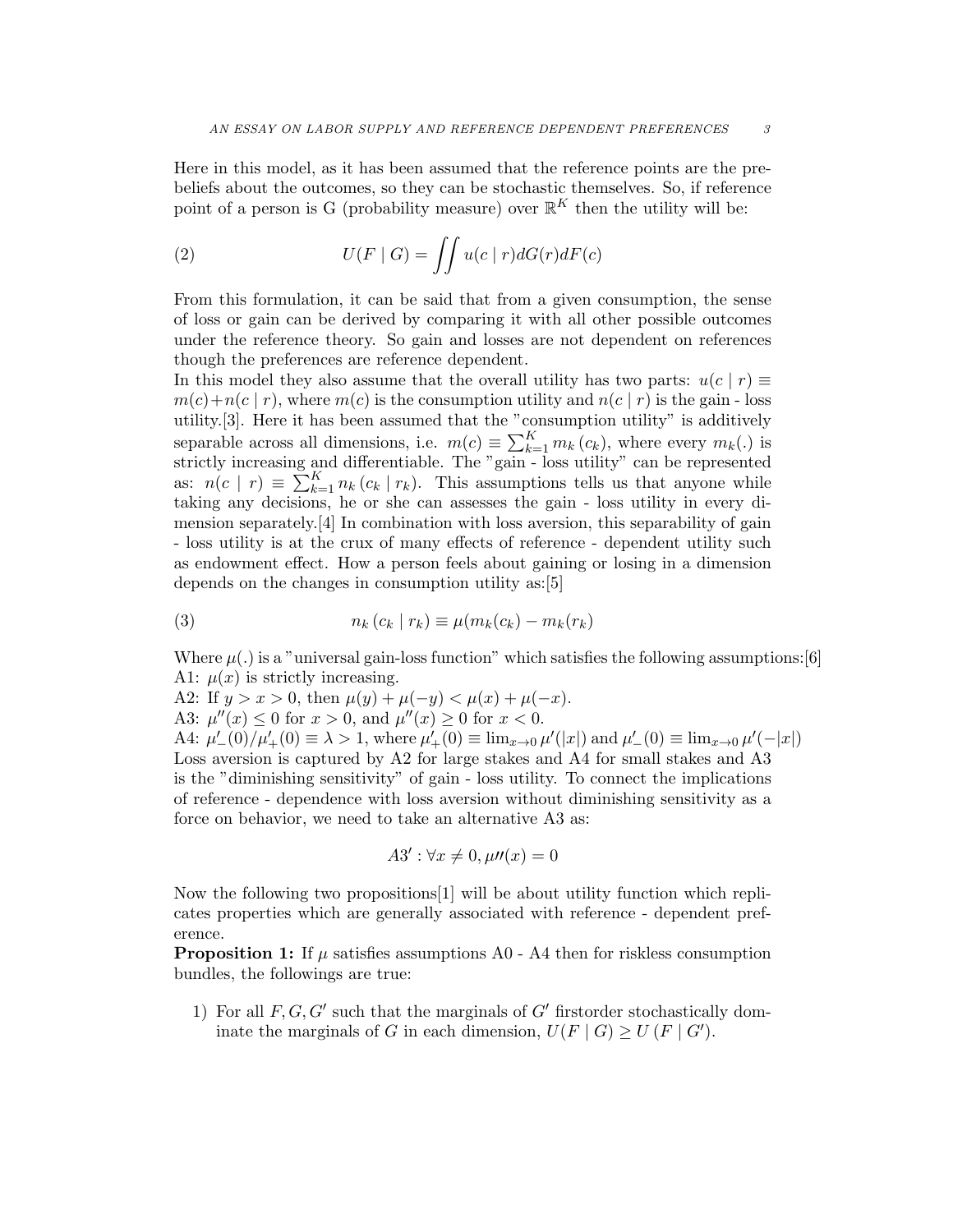Here in this model, as it has been assumed that the reference points are the prebeliefs about the outcomes, so they can be stochastic themselves. So, if reference point of a person is G (probability measure) over  $\mathbb{R}^K$  then the utility will be:

(2) 
$$
U(F \mid G) = \iint u(c \mid r) dG(r) dF(c)
$$

From this formulation, it can be said that from a given consumption, the sense of loss or gain can be derived by comparing it with all other possible outcomes under the reference theory. So gain and losses are not dependent on references though the preferences are reference dependent.

In this model they also assume that the overall utility has two parts:  $u(c | r) \equiv$  $m(c) + n(c | r)$ , where  $m(c)$  is the consumption utility and  $n(c | r)$  is the gain - loss utility.[3]. Here it has been assumed that the "consumption utility" is additively separable across all dimensions, i.e.  $m(c) \equiv \sum_{k=1}^{K} m_k(c_k)$ , where every  $m_k(.)$  is strictly increasing and differentiable. The "gain - loss utility" can be represented as:  $n(c | r) \equiv \sum_{k=1}^{K} n_k (c_k | r_k)$ . This assumptions tells us that anyone while taking any decisions, he or she can assesses the gain - loss utility in every dimension separately.[4] In combination with loss aversion, this separability of gain - loss utility is at the crux of many effects of reference - dependent utility such as endowment effect. How a person feels about gaining or losing in a dimension depends on the changes in consumption utility as:[5]

(3) 
$$
n_k(c_k | r_k) \equiv \mu(m_k(c_k) - m_k(r_k))
$$

Where  $\mu(.)$  is a "universal gain-loss function" which satisfies the following assumptions: [6] A1:  $\mu(x)$  is strictly increasing.

A2: If  $y > x > 0$ , then  $\mu(y) + \mu(-y) < \mu(x) + \mu(-x)$ .

A3:  $\mu''(x) \le 0$  for  $x > 0$ , and  $\mu''(x) \ge 0$  for  $x < 0$ .

A4:  $\mu'_{-}(0)/\mu'_{+}(0) \equiv \lambda > 1$ , where  $\mu'_{+}(0) \equiv \lim_{x\to 0} \mu'(|x|)$  and  $\mu'_{-}(0) \equiv \lim_{x\to 0} \mu'(-|x|)$ Loss aversion is captured by A2 for large stakes and A4 for small stakes and A3 is the "diminishing sensitivity" of gain - loss utility. To connect the implications of reference - dependence with loss aversion without diminishing sensitivity as a force on behavior, we need to take an alternative A3 as:

$$
A3': \forall x \neq 0, \mu n(x) = 0
$$

Now the following two propositions[1] will be about utility function which replicates properties which are generally associated with reference - dependent preference.

**Proposition 1:** If  $\mu$  satisfies assumptions A0 - A4 then for riskless consumption bundles, the followings are true:

1) For all  $F, G, G'$  such that the marginals of  $G'$  firstorder stochastically dominate the marginals of G in each dimension,  $U(F | G) \ge U(F | G')$ .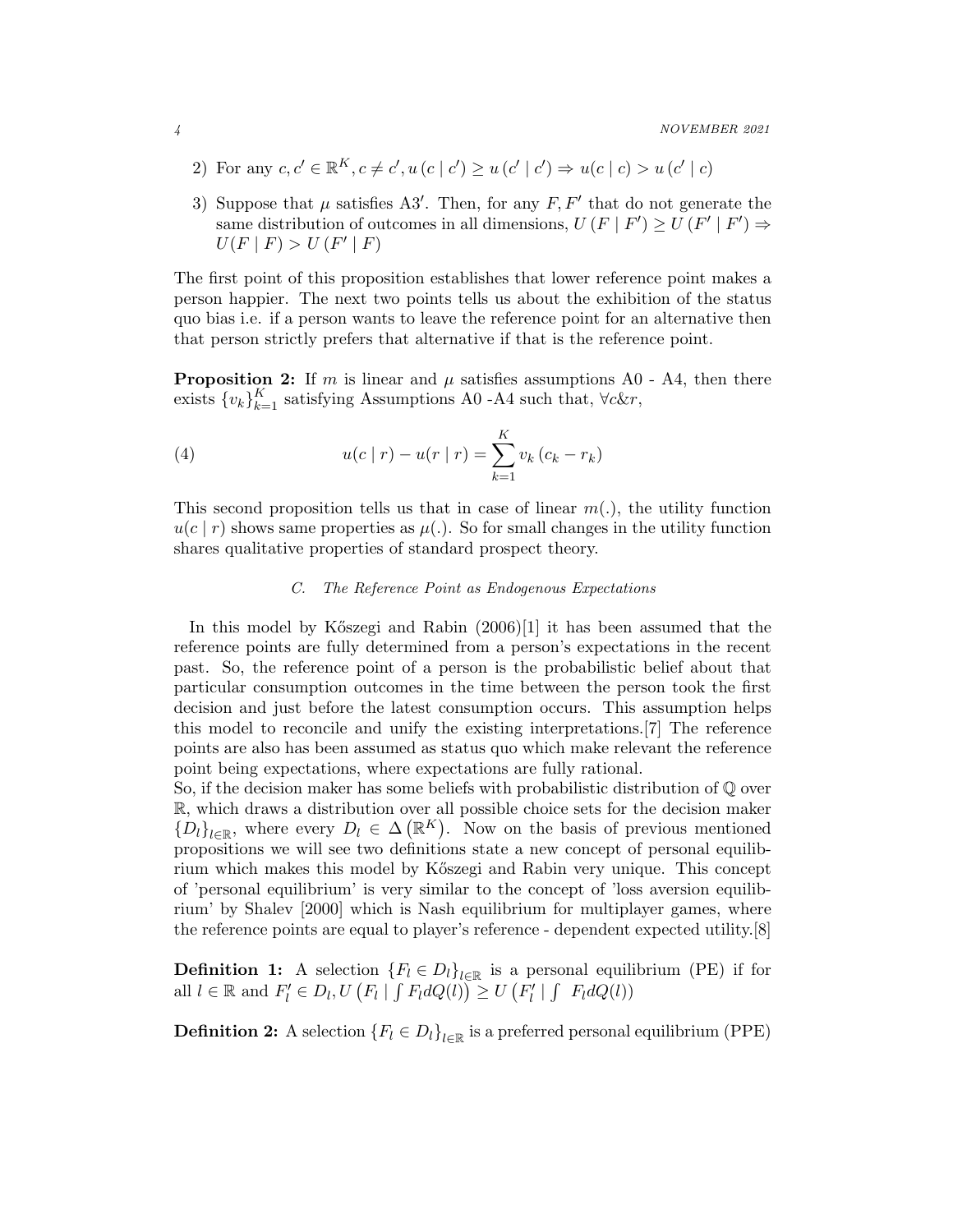- 2) For any  $c, c' \in \mathbb{R}^K$ ,  $c \neq c'$ ,  $u(c | c') \geq u(c' | c') \Rightarrow u(c | c) > u(c' | c)$
- 3) Suppose that  $\mu$  satisfies A3'. Then, for any  $F, F'$  that do not generate the same distribution of outcomes in all dimensions,  $U(F | F') \ge U(F' | F') \Rightarrow$  $U(F | F) > U(F' | F)$

The first point of this proposition establishes that lower reference point makes a person happier. The next two points tells us about the exhibition of the status quo bias i.e. if a person wants to leave the reference point for an alternative then that person strictly prefers that alternative if that is the reference point.

**Proposition 2:** If m is linear and  $\mu$  satisfies assumptions A0 - A4, then there exists  $\{v_k\}_{k=1}^K$  satisfying Assumptions A0 -A4 such that,  $\forall c \& r$ ,

(4) 
$$
u(c | r) - u(r | r) = \sum_{k=1}^{K} v_k (c_k - r_k)
$$

This second proposition tells us that in case of linear  $m(.)$ , the utility function  $u(c | r)$  shows same properties as  $\mu$ . So for small changes in the utility function shares qualitative properties of standard prospect theory.

# *C. The Reference Point as Endogenous Expectations*

In this model by Kőszegi and Rabin (2006)[1] it has been assumed that the reference points are fully determined from a person's expectations in the recent past. So, the reference point of a person is the probabilistic belief about that particular consumption outcomes in the time between the person took the first decision and just before the latest consumption occurs. This assumption helps this model to reconcile and unify the existing interpretations.[7] The reference points are also has been assumed as status quo which make relevant the reference point being expectations, where expectations are fully rational.

So, if the decision maker has some beliefs with probabilistic distribution of  $\mathbb Q$  over R, which draws a distribution over all possible choice sets for the decision maker  ${D_l}_{l \in \mathbb{R}}$ , where every  $D_l \in \Delta(\mathbb{R}^K)$ . Now on the basis of previous mentioned propositions we will see two definitions state a new concept of personal equilibrium which makes this model by K˝oszegi and Rabin very unique. This concept of 'personal equilibrium' is very similar to the concept of 'loss aversion equilibrium' by Shalev [2000] which is Nash equilibrium for multiplayer games, where the reference points are equal to player's reference - dependent expected utility.[8]

**Definition 1:** A selection  ${F_l \in D_l}_{l \in \mathbb{R}}$  is a personal equilibrium (PE) if for all  $l \in \mathbb{R}$  and  $F'_l \in D_l, U(F_l | \int F_l dQ(l)) \ge U(F'_l | \int F_l dQ(l))$ 

**Definition 2:** A selection  ${F_l \in D_l}_{l \in \mathbb{R}}$  is a preferred personal equilibrium (PPE)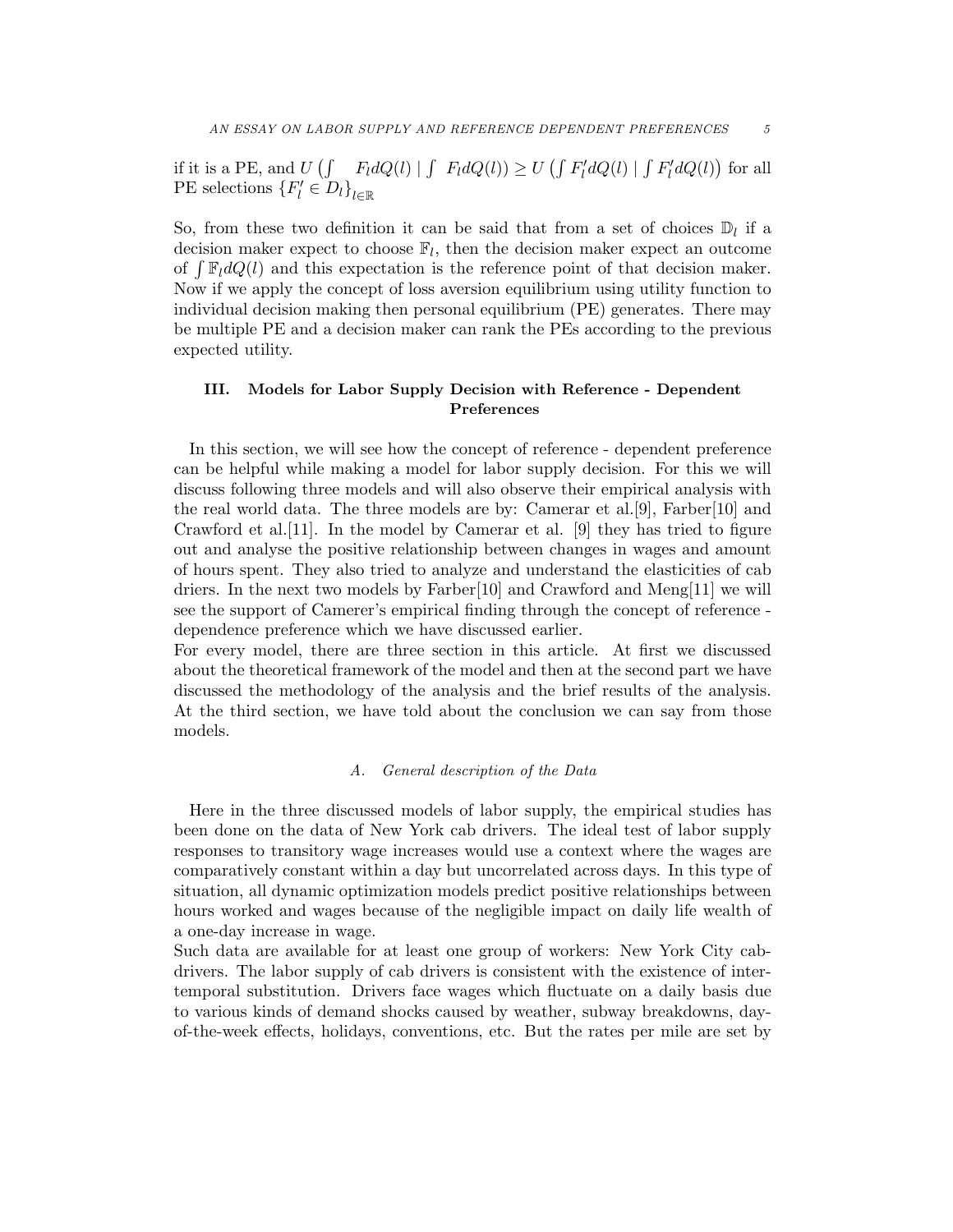if it is a PE, and  $U(\int F_l dQ(l) | \int F_l dQ(l)) \ge U(\int F'_l dQ(l) | \int F'_l dQ(l))$  for all PE selections  $\{F'_l \in D_l\}_{l \in \mathbb{R}}$ 

So, from these two definition it can be said that from a set of choices  $\mathbb{D}_l$  if a decision maker expect to choose  $\mathbb{F}_l$ , then the decision maker expect an outcome of  $\int \mathbb{F}_l dQ(l)$  and this expectation is the reference point of that decision maker. Now if we apply the concept of loss aversion equilibrium using utility function to individual decision making then personal equilibrium (PE) generates. There may be multiple PE and a decision maker can rank the PEs according to the previous expected utility.

# III. Models for Labor Supply Decision with Reference - Dependent Preferences

In this section, we will see how the concept of reference - dependent preference can be helpful while making a model for labor supply decision. For this we will discuss following three models and will also observe their empirical analysis with the real world data. The three models are by: Camerar et al.[9], Farber[10] and Crawford et al.[11]. In the model by Camerar et al. [9] they has tried to figure out and analyse the positive relationship between changes in wages and amount of hours spent. They also tried to analyze and understand the elasticities of cab driers. In the next two models by Farber[10] and Crawford and Meng[11] we will see the support of Camerer's empirical finding through the concept of reference dependence preference which we have discussed earlier.

For every model, there are three section in this article. At first we discussed about the theoretical framework of the model and then at the second part we have discussed the methodology of the analysis and the brief results of the analysis. At the third section, we have told about the conclusion we can say from those models.

## *A. General description of the Data*

Here in the three discussed models of labor supply, the empirical studies has been done on the data of New York cab drivers. The ideal test of labor supply responses to transitory wage increases would use a context where the wages are comparatively constant within a day but uncorrelated across days. In this type of situation, all dynamic optimization models predict positive relationships between hours worked and wages because of the negligible impact on daily life wealth of a one-day increase in wage.

Such data are available for at least one group of workers: New York City cabdrivers. The labor supply of cab drivers is consistent with the existence of intertemporal substitution. Drivers face wages which fluctuate on a daily basis due to various kinds of demand shocks caused by weather, subway breakdowns, dayof-the-week effects, holidays, conventions, etc. But the rates per mile are set by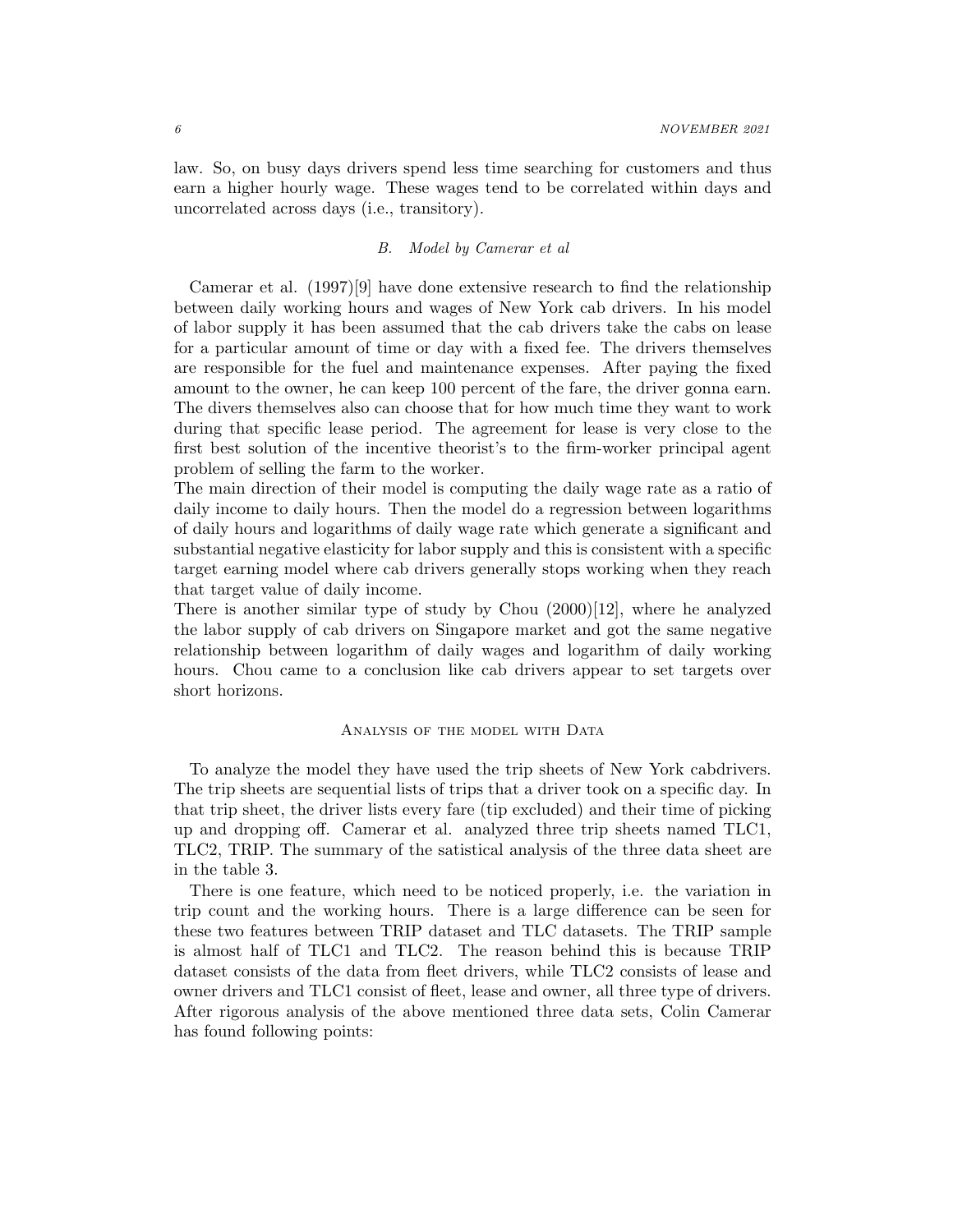law. So, on busy days drivers spend less time searching for customers and thus earn a higher hourly wage. These wages tend to be correlated within days and uncorrelated across days (i.e., transitory).

# *B. Model by Camerar et al*

Camerar et al. (1997)[9] have done extensive research to find the relationship between daily working hours and wages of New York cab drivers. In his model of labor supply it has been assumed that the cab drivers take the cabs on lease for a particular amount of time or day with a fixed fee. The drivers themselves are responsible for the fuel and maintenance expenses. After paying the fixed amount to the owner, he can keep 100 percent of the fare, the driver gonna earn. The divers themselves also can choose that for how much time they want to work during that specific lease period. The agreement for lease is very close to the first best solution of the incentive theorist's to the firm-worker principal agent problem of selling the farm to the worker.

The main direction of their model is computing the daily wage rate as a ratio of daily income to daily hours. Then the model do a regression between logarithms of daily hours and logarithms of daily wage rate which generate a significant and substantial negative elasticity for labor supply and this is consistent with a specific target earning model where cab drivers generally stops working when they reach that target value of daily income.

There is another similar type of study by Chou  $(2000)[12]$ , where he analyzed the labor supply of cab drivers on Singapore market and got the same negative relationship between logarithm of daily wages and logarithm of daily working hours. Chou came to a conclusion like cab drivers appear to set targets over short horizons.

#### ANALYSIS OF THE MODEL WITH DATA

To analyze the model they have used the trip sheets of New York cabdrivers. The trip sheets are sequential lists of trips that a driver took on a specific day. In that trip sheet, the driver lists every fare (tip excluded) and their time of picking up and dropping off. Camerar et al. analyzed three trip sheets named TLC1, TLC2, TRIP. The summary of the satistical analysis of the three data sheet are in the table 3.

There is one feature, which need to be noticed properly, i.e. the variation in trip count and the working hours. There is a large difference can be seen for these two features between TRIP dataset and TLC datasets. The TRIP sample is almost half of TLC1 and TLC2. The reason behind this is because TRIP dataset consists of the data from fleet drivers, while TLC2 consists of lease and owner drivers and TLC1 consist of fleet, lease and owner, all three type of drivers. After rigorous analysis of the above mentioned three data sets, Colin Camerar has found following points: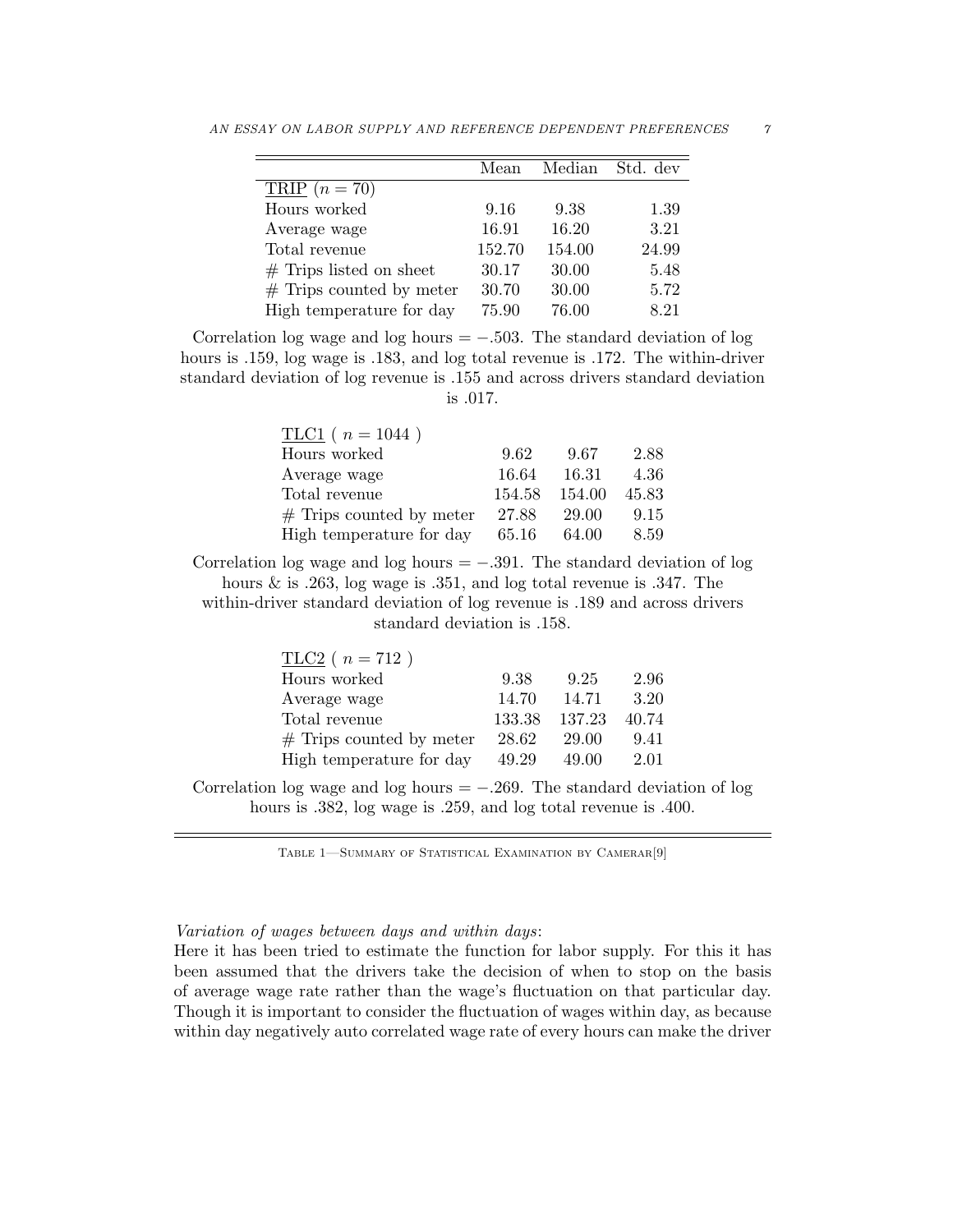|                            | Mean   | Median | Std. dev |
|----------------------------|--------|--------|----------|
| $TRIP (n = 70)$            |        |        |          |
| Hours worked               | 9.16   | 9.38   | 1.39     |
| Average wage               | 16.91  | 16.20  | 3.21     |
| Total revenue              | 152.70 | 154.00 | 24.99    |
| $#$ Trips listed on sheet  | 30.17  | 30.00  | 5.48     |
| $#$ Trips counted by meter | 30.70  | 30.00  | 5.72     |
| High temperature for day   | 75.90  | 76.00  | 8.21     |

AN ESSAY ON LABOR SUPPLY AND REFERENCE DEPENDENT PREFERENCES  $\gamma$ 

Correlation log wage and log hours  $=$  -.503. The standard deviation of log hours is .159, log wage is .183, and log total revenue is .172. The within-driver standard deviation of log revenue is .155 and across drivers standard deviation is .017.

| $TLC1$ ( $n = 1044$ )      |        |        |       |
|----------------------------|--------|--------|-------|
| Hours worked               | 9.62   | 9.67   | 2.88  |
| Average wage               | 16.64  | 16.31  | 4.36  |
| Total revenue              | 154.58 | 154.00 | 45.83 |
| $#$ Trips counted by meter | 27.88  | 29.00  | 9.15  |
| High temperature for day   | 65.16  | 64.00  | 8.59  |

Correlation log wage and log hours  $=$  -.391. The standard deviation of log hours & is .263, log wage is .351, and log total revenue is .347. The within-driver standard deviation of log revenue is .189 and across drivers standard deviation is .158.

| $TLC2$ ( $n = 712$ )       |        |        |       |
|----------------------------|--------|--------|-------|
| Hours worked               | 9.38   | 9.25   | 2.96  |
| Average wage               | 14.70  | 14.71  | 3.20  |
| Total revenue              | 133.38 | 137.23 | 40.74 |
| $#$ Trips counted by meter | 28.62  | 29.00  | 9.41  |
| High temperature for day   | 49.29  | 49.00  | 2.01  |

Correlation log wage and log hours  $= -0.269$ . The standard deviation of log hours is .382, log wage is .259, and log total revenue is .400.

TABLE 1-SUMMARY OF STATISTICAL EXAMINATION BY CAMERAR<sup>[9]</sup>

# *Variation of wages between days and within days*:

Here it has been tried to estimate the function for labor supply. For this it has been assumed that the drivers take the decision of when to stop on the basis of average wage rate rather than the wage's fluctuation on that particular day. Though it is important to consider the fluctuation of wages within day, as because within day negatively auto correlated wage rate of every hours can make the driver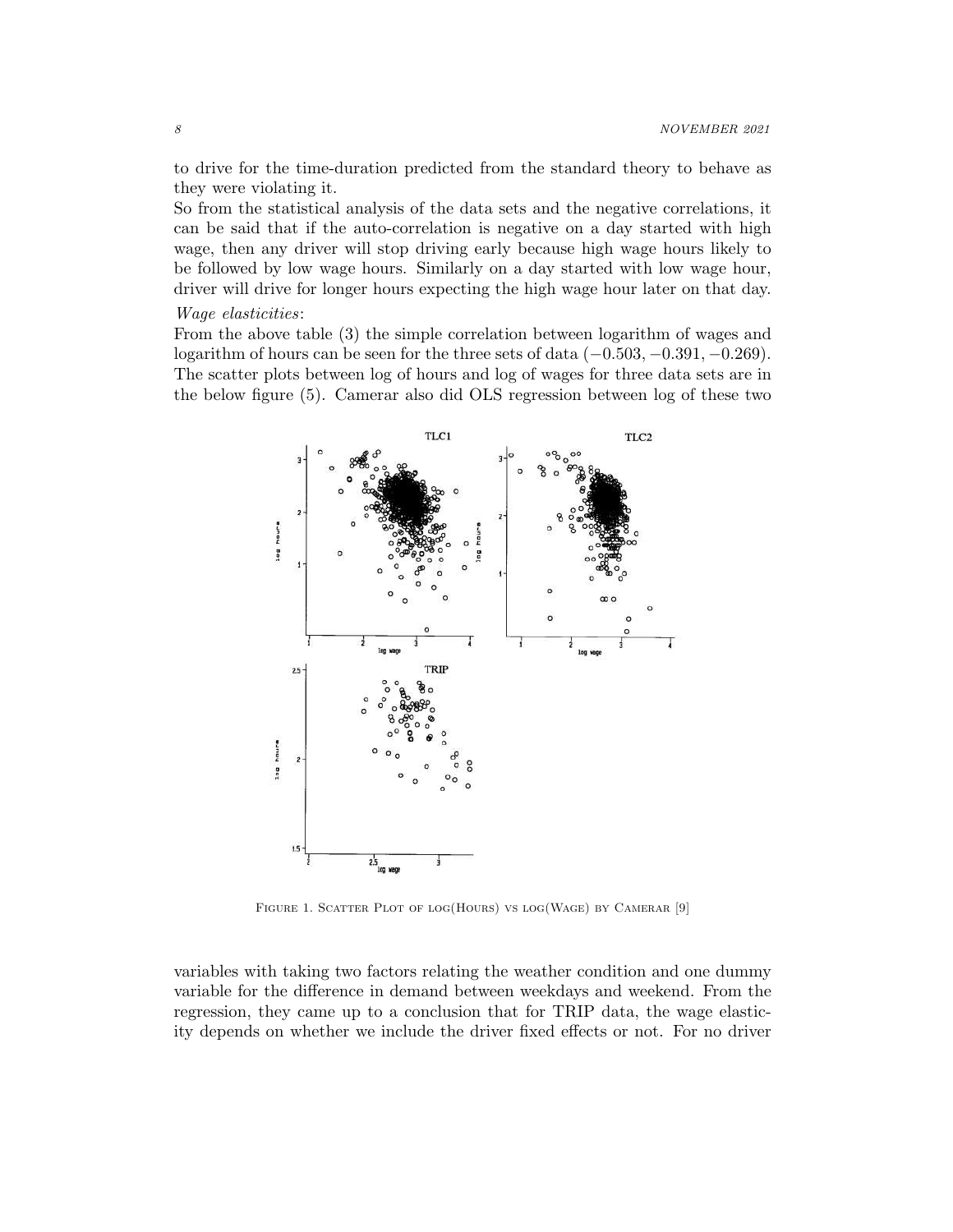to drive for the time-duration predicted from the standard theory to behave as they were violating it.

So from the statistical analysis of the data sets and the negative correlations, it can be said that if the auto-correlation is negative on a day started with high wage, then any driver will stop driving early because high wage hours likely to be followed by low wage hours. Similarly on a day started with low wage hour, driver will drive for longer hours expecting the high wage hour later on that day.

#### *Wage elasticities*:

From the above table (3) the simple correlation between logarithm of wages and logarithm of hours can be seen for the three sets of data  $(-0.503, -0.391, -0.269)$ . The scatter plots between log of hours and log of wages for three data sets are in the below figure (5). Camerar also did OLS regression between log of these two



FIGURE 1. SCATTER PLOT OF LOG(HOURS) VS LOG(WAGE) BY CAMERAR [9]

variables with taking two factors relating the weather condition and one dummy variable for the difference in demand between weekdays and weekend. From the regression, they came up to a conclusion that for TRIP data, the wage elasticity depends on whether we include the driver fixed effects or not. For no driver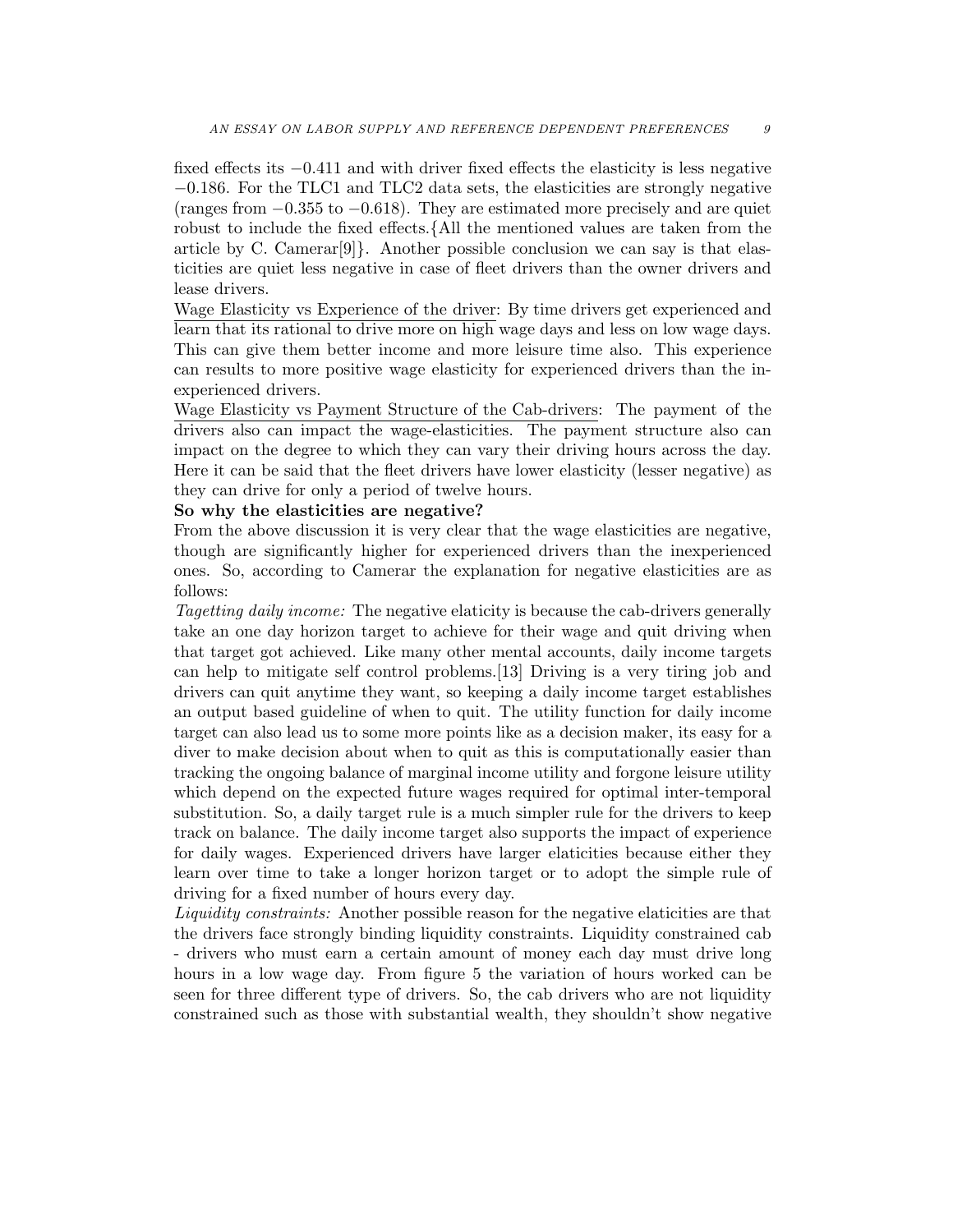fixed effects its −0.411 and with driver fixed effects the elasticity is less negative −0.186. For the TLC1 and TLC2 data sets, the elasticities are strongly negative (ranges from −0.355 to −0.618). They are estimated more precisely and are quiet robust to include the fixed effects.{All the mentioned values are taken from the article by C. Camerar $[9]$ . Another possible conclusion we can say is that elasticities are quiet less negative in case of fleet drivers than the owner drivers and lease drivers.

Wage Elasticity vs Experience of the driver: By time drivers get experienced and learn that its rational to drive more on high wage days and less on low wage days. This can give them better income and more leisure time also. This experience can results to more positive wage elasticity for experienced drivers than the inexperienced drivers.

Wage Elasticity vs Payment Structure of the Cab-drivers: The payment of the drivers also can impact the wage-elasticities. The payment structure also can impact on the degree to which they can vary their driving hours across the day. Here it can be said that the fleet drivers have lower elasticity (lesser negative) as they can drive for only a period of twelve hours.

# So why the elasticities are negative?

From the above discussion it is very clear that the wage elasticities are negative, though are significantly higher for experienced drivers than the inexperienced ones. So, according to Camerar the explanation for negative elasticities are as follows:

*Tagetting daily income:* The negative elaticity is because the cab-drivers generally take an one day horizon target to achieve for their wage and quit driving when that target got achieved. Like many other mental accounts, daily income targets can help to mitigate self control problems.[13] Driving is a very tiring job and drivers can quit anytime they want, so keeping a daily income target establishes an output based guideline of when to quit. The utility function for daily income target can also lead us to some more points like as a decision maker, its easy for a diver to make decision about when to quit as this is computationally easier than tracking the ongoing balance of marginal income utility and forgone leisure utility which depend on the expected future wages required for optimal inter-temporal substitution. So, a daily target rule is a much simpler rule for the drivers to keep track on balance. The daily income target also supports the impact of experience for daily wages. Experienced drivers have larger elaticities because either they learn over time to take a longer horizon target or to adopt the simple rule of driving for a fixed number of hours every day.

*Liquidity constraints:* Another possible reason for the negative elaticities are that the drivers face strongly binding liquidity constraints. Liquidity constrained cab - drivers who must earn a certain amount of money each day must drive long hours in a low wage day. From figure 5 the variation of hours worked can be seen for three different type of drivers. So, the cab drivers who are not liquidity constrained such as those with substantial wealth, they shouldn't show negative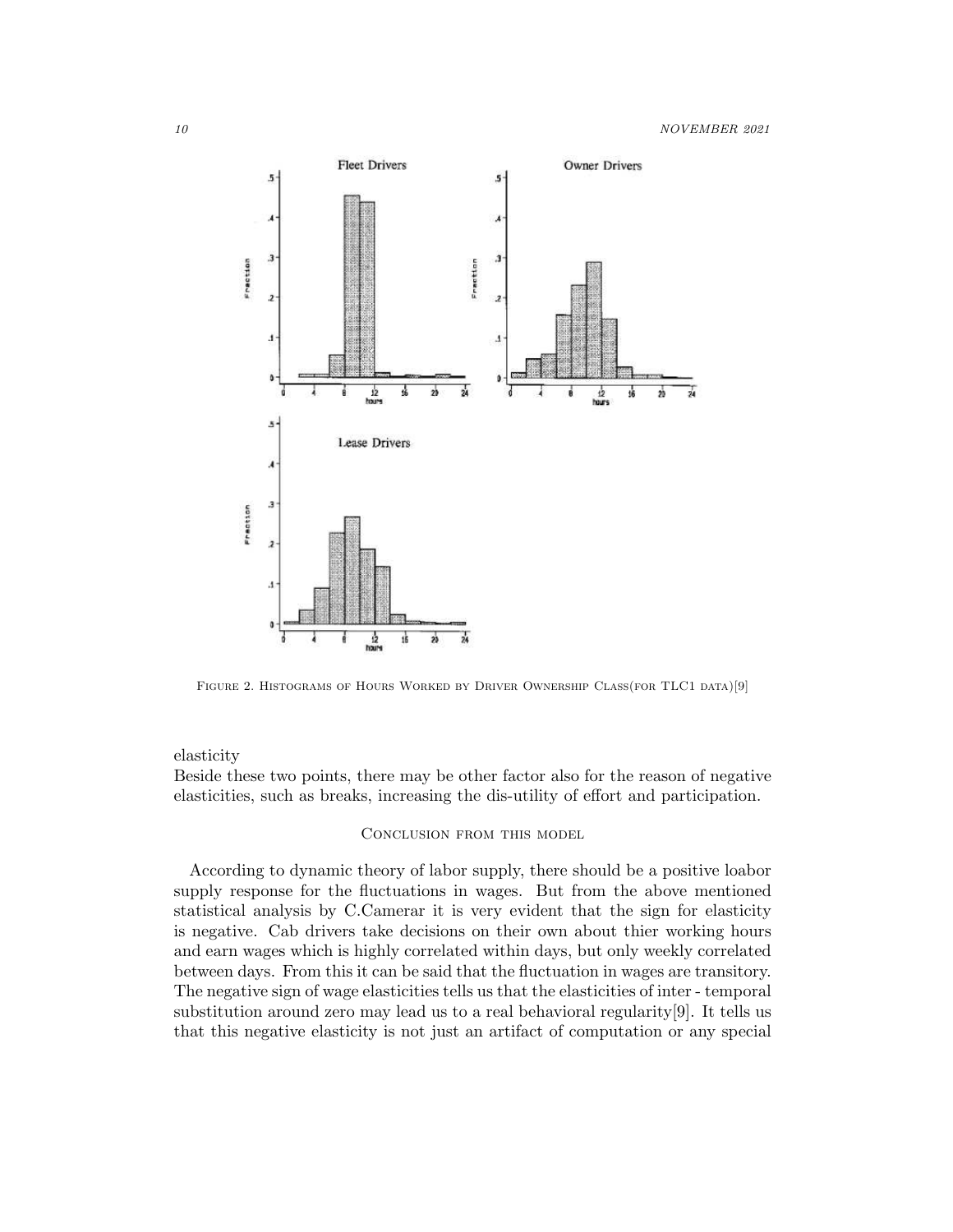

FIGURE 2. HISTOGRAMS OF HOURS WORKED BY DRIVER OWNERSHIP CLASS(FOR TLC1 DATA)[9]

#### elasticity

Beside these two points, there may be other factor also for the reason of negative elasticities, such as breaks, increasing the dis-utility of effort and participation.

#### Conclusion from this model

According to dynamic theory of labor supply, there should be a positive loabor supply response for the fluctuations in wages. But from the above mentioned statistical analysis by C.Camerar it is very evident that the sign for elasticity is negative. Cab drivers take decisions on their own about thier working hours and earn wages which is highly correlated within days, but only weekly correlated between days. From this it can be said that the fluctuation in wages are transitory. The negative sign of wage elasticities tells us that the elasticities of inter - temporal substitution around zero may lead us to a real behavioral regularity[9]. It tells us that this negative elasticity is not just an artifact of computation or any special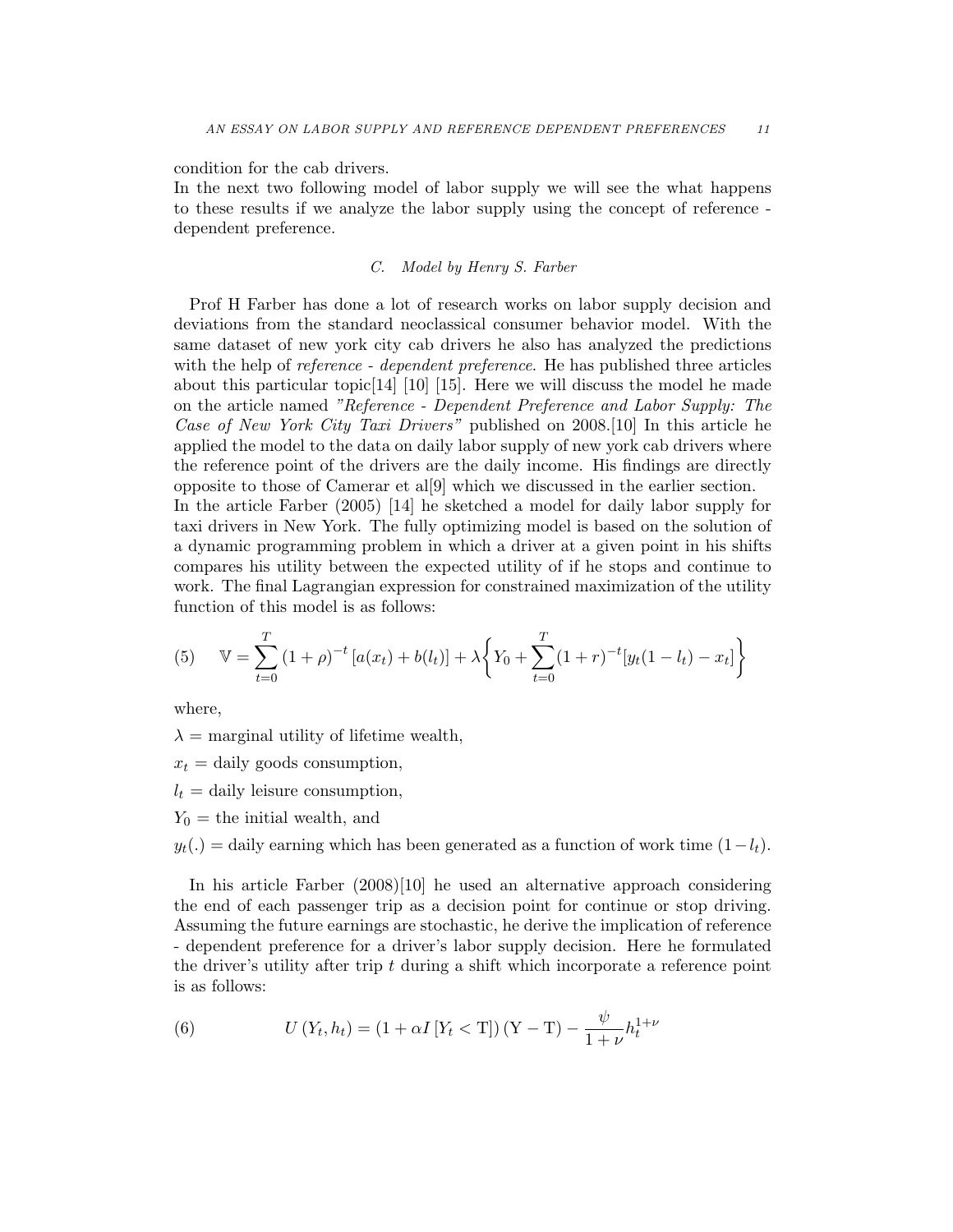condition for the cab drivers.

In the next two following model of labor supply we will see the what happens to these results if we analyze the labor supply using the concept of reference dependent preference.

### *C. Model by Henry S. Farber*

Prof H Farber has done a lot of research works on labor supply decision and deviations from the standard neoclassical consumer behavior model. With the same dataset of new york city cab drivers he also has analyzed the predictions with the help of *reference - dependent preference*. He has published three articles about this particular topic[14] [10] [15]. Here we will discuss the model he made on the article named *"Reference - Dependent Preference and Labor Supply: The Case of New York City Taxi Drivers"* published on 2008.[10] In this article he applied the model to the data on daily labor supply of new york cab drivers where the reference point of the drivers are the daily income. His findings are directly opposite to those of Camerar et al[9] which we discussed in the earlier section. In the article Farber (2005) [14] he sketched a model for daily labor supply for taxi drivers in New York. The fully optimizing model is based on the solution of a dynamic programming problem in which a driver at a given point in his shifts compares his utility between the expected utility of if he stops and continue to

(5) 
$$
\mathbb{V} = \sum_{t=0}^{T} (1+\rho)^{-t} [a(x_t) + b(l_t)] + \lambda \left\{ Y_0 + \sum_{t=0}^{T} (1+r)^{-t} [y_t(1-l_t) - x_t] \right\}
$$

work. The final Lagrangian expression for constrained maximization of the utility

where,

 $\lambda$  = marginal utility of lifetime wealth,

function of this model is as follows:

 $x_t$  = daily goods consumption,

- $l_t =$  daily leisure consumption,
- $Y_0$  = the initial wealth, and

 $y_t(.) =$  daily earning which has been generated as a function of work time  $(1-l_t)$ .

In his article Farber (2008)[10] he used an alternative approach considering the end of each passenger trip as a decision point for continue or stop driving. Assuming the future earnings are stochastic, he derive the implication of reference - dependent preference for a driver's labor supply decision. Here he formulated the driver's utility after trip  $t$  during a shift which incorporate a reference point is as follows:

(6) 
$$
U(Y_t, h_t) = (1 + \alpha I [Y_t < T])(Y - T) - \frac{\psi}{1 + \nu} h_t^{1 + \nu}
$$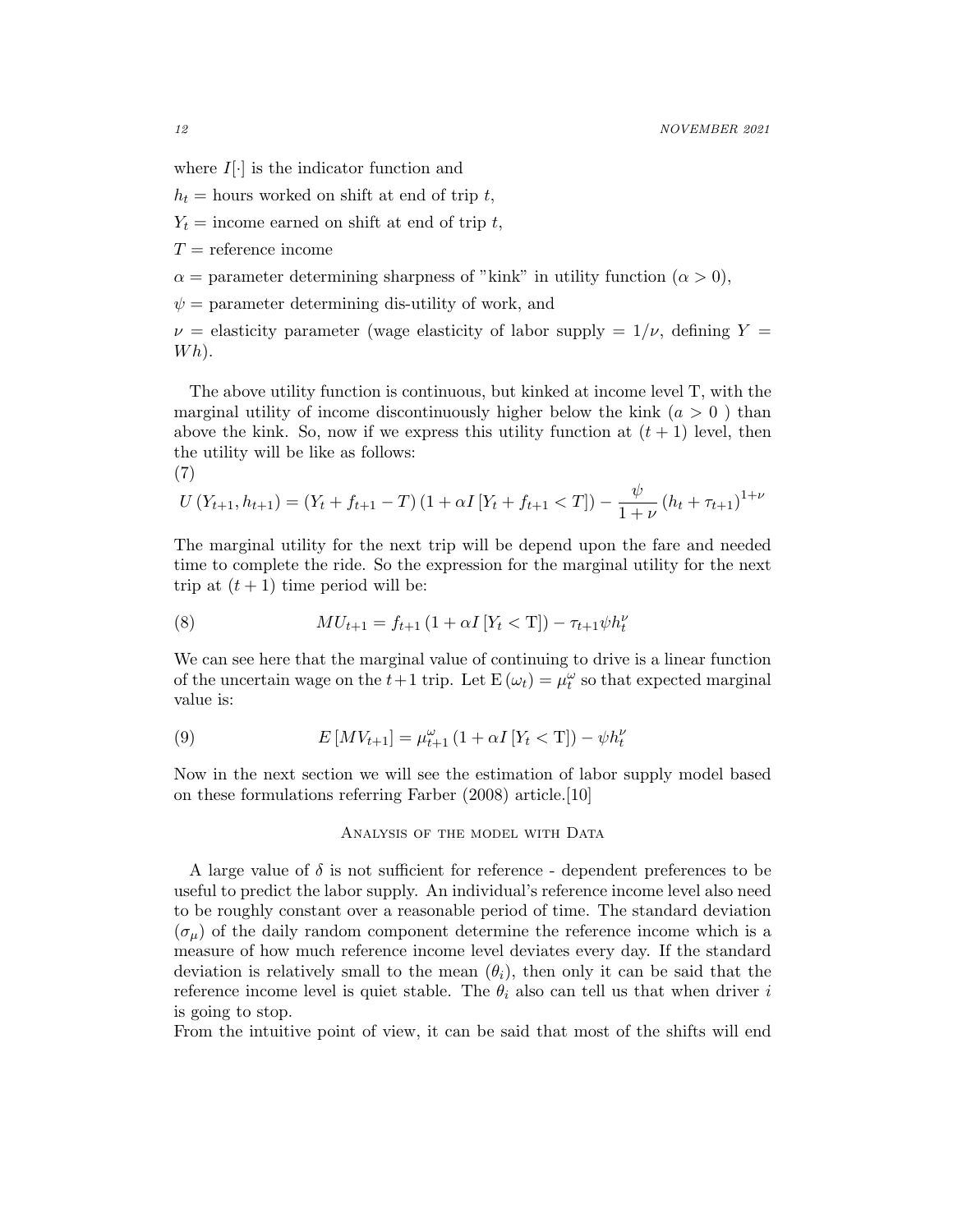where  $I[\cdot]$  is the indicator function and

 $h_t$  = hours worked on shift at end of trip t,

 $Y_t$  = income earned on shift at end of trip t,

 $T =$  reference income

 $\alpha$  = parameter determining sharpness of "kink" in utility function ( $\alpha$  > 0),

 $\psi$  = parameter determining dis-utility of work, and

 $\nu =$  elasticity parameter (wage elasticity of labor supply =  $1/\nu$ , defining Y =  $Wh$ ).

The above utility function is continuous, but kinked at income level T, with the marginal utility of income discontinuously higher below the kink  $(a > 0)$  than above the kink. So, now if we express this utility function at  $(t + 1)$  level, then the utility will be like as follows:

$$
(7) \quad
$$

$$
U(Y_{t+1}, h_{t+1}) = (Y_t + f_{t+1} - T) (1 + \alpha I [Y_t + f_{t+1} < T]) - \frac{\psi}{1 + \nu} (h_t + \tau_{t+1})^{1 + \nu}
$$

The marginal utility for the next trip will be depend upon the fare and needed time to complete the ride. So the expression for the marginal utility for the next trip at  $(t + 1)$  time period will be:

(8) 
$$
MU_{t+1} = f_{t+1} (1 + \alpha I [Y_t < T]) - \tau_{t+1} \psi h_t^{\nu}
$$

We can see here that the marginal value of continuing to drive is a linear function of the uncertain wage on the  $t+1$  trip. Let  $E(\omega_t) = \mu_t^{\omega}$  so that expected marginal value is:

(9) 
$$
E\left[ MV_{t+1}\right] = \mu_{t+1}^{\omega} \left(1 + \alpha I \left[Y_t < T\right]\right) - \psi h_t^{\nu}
$$

Now in the next section we will see the estimation of labor supply model based on these formulations referring Farber (2008) article.[10]

#### ANALYSIS OF THE MODEL WITH DATA

A large value of  $\delta$  is not sufficient for reference - dependent preferences to be useful to predict the labor supply. An individual's reference income level also need to be roughly constant over a reasonable period of time. The standard deviation  $(\sigma_{\mu})$  of the daily random component determine the reference income which is a measure of how much reference income level deviates every day. If the standard deviation is relatively small to the mean  $(\theta_i)$ , then only it can be said that the reference income level is quiet stable. The  $\theta_i$  also can tell us that when driver i is going to stop.

From the intuitive point of view, it can be said that most of the shifts will end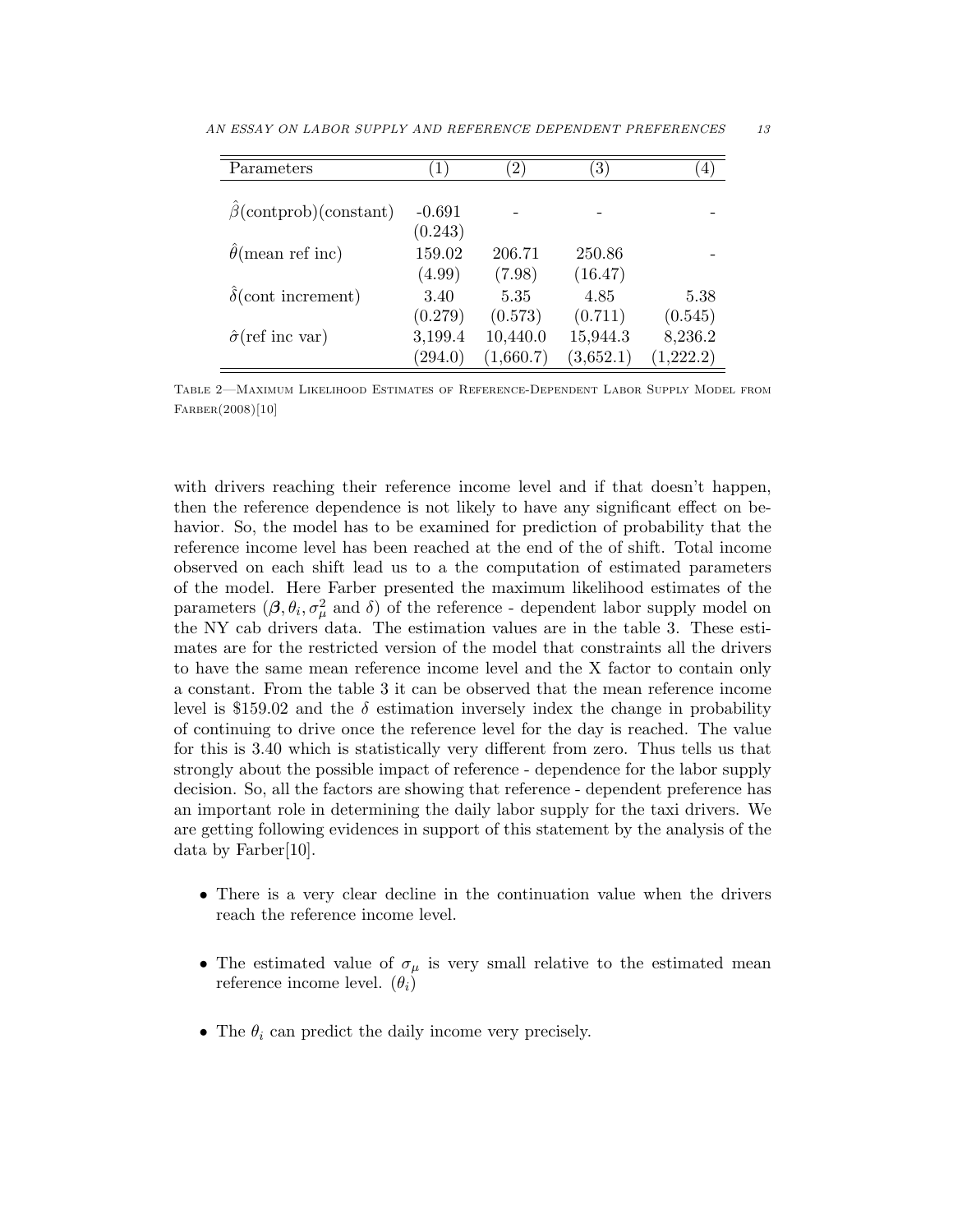| Parameters                   | $1^{\circ}$ | $ 2\rangle$ | $\left(3\right)$ | 4         |
|------------------------------|-------------|-------------|------------------|-----------|
|                              |             |             |                  |           |
| $\beta$ (contprob)(constant) | $-0.691$    |             |                  |           |
|                              | (0.243)     |             |                  |           |
| $\theta$ (mean ref inc)      | 159.02      | 206.71      | 250.86           |           |
|                              | (4.99)      | (7.98)      | (16.47)          |           |
| $\delta$ (cont increment)    | 3.40        | 5.35        | 4.85             | 5.38      |
|                              | (0.279)     | (0.573)     | (0.711)          | (0.545)   |
| $\hat{\sigma}$ (ref inc var) | 3,199.4     | 10,440.0    | 15,944.3         | 8,236.2   |
|                              | (294.0)     | (1,660.7)   | (3,652.1)        | (1,222.2) |

AN ESSAY ON LABOR SUPPLY AND REFERENCE DEPENDENT PREFERENCES 13

Table 2—Maximum Likelihood Estimates of Reference-Dependent Labor Supply Model from Farber(2008)[10]

with drivers reaching their reference income level and if that doesn't happen, then the reference dependence is not likely to have any significant effect on behavior. So, the model has to be examined for prediction of probability that the reference income level has been reached at the end of the of shift. Total income observed on each shift lead us to a the computation of estimated parameters of the model. Here Farber presented the maximum likelihood estimates of the parameters  $(\beta, \theta_i, \sigma_\mu^2)$  and  $\delta)$  of the reference - dependent labor supply model on the NY cab drivers data. The estimation values are in the table 3. These estimates are for the restricted version of the model that constraints all the drivers to have the same mean reference income level and the X factor to contain only a constant. From the table 3 it can be observed that the mean reference income level is \$159.02 and the  $\delta$  estimation inversely index the change in probability of continuing to drive once the reference level for the day is reached. The value for this is 3.40 which is statistically very different from zero. Thus tells us that strongly about the possible impact of reference - dependence for the labor supply decision. So, all the factors are showing that reference - dependent preference has an important role in determining the daily labor supply for the taxi drivers. We are getting following evidences in support of this statement by the analysis of the data by Farber[10].

- There is a very clear decline in the continuation value when the drivers reach the reference income level.
- The estimated value of  $\sigma_{\mu}$  is very small relative to the estimated mean reference income level.  $(\theta_i)$
- The  $\theta_i$  can predict the daily income very precisely.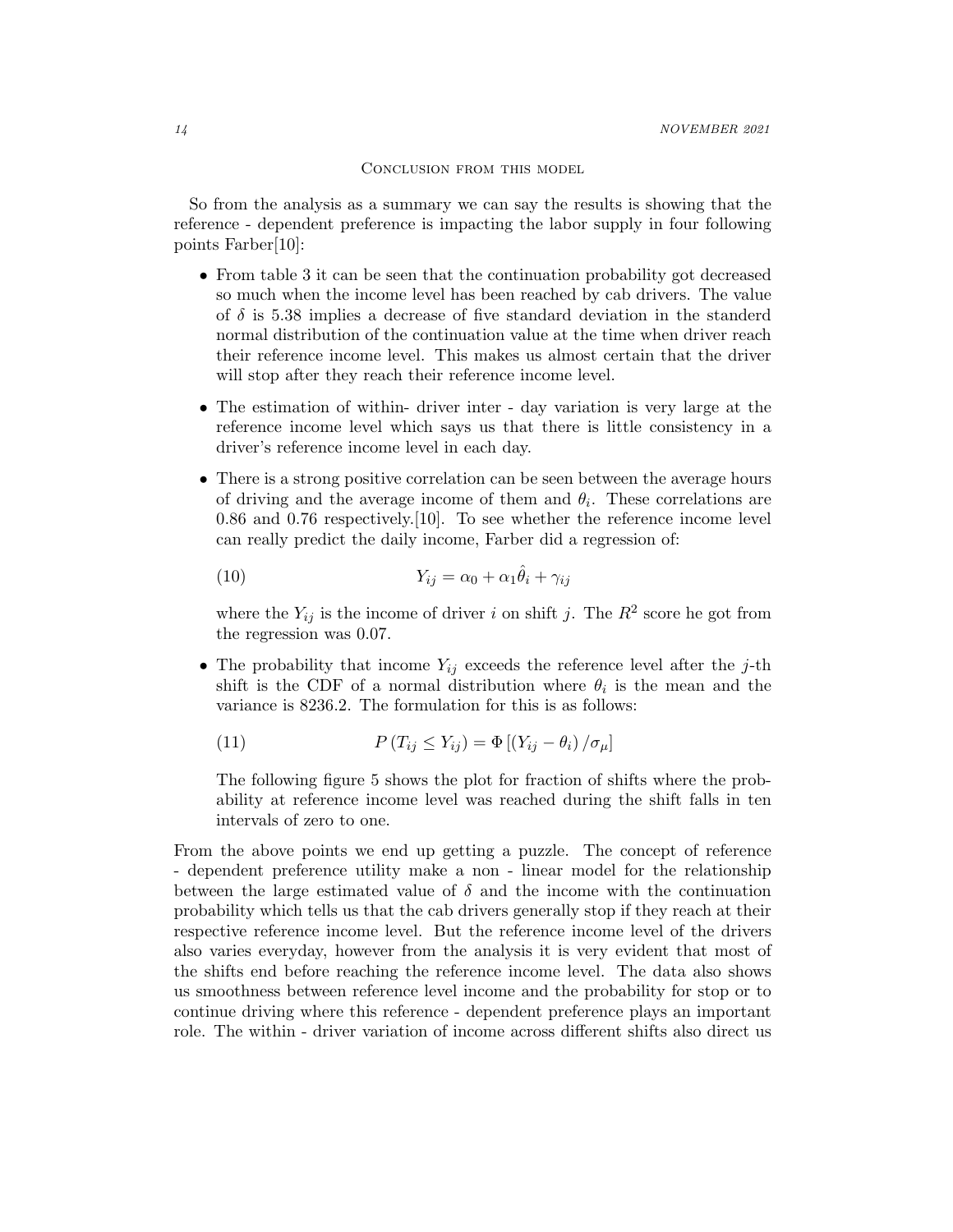Conclusion from this model

So from the analysis as a summary we can say the results is showing that the reference - dependent preference is impacting the labor supply in four following points Farber[10]:

- From table 3 it can be seen that the continuation probability got decreased so much when the income level has been reached by cab drivers. The value of  $\delta$  is 5.38 implies a decrease of five standard deviation in the standerd normal distribution of the continuation value at the time when driver reach their reference income level. This makes us almost certain that the driver will stop after they reach their reference income level.
- The estimation of within- driver inter day variation is very large at the reference income level which says us that there is little consistency in a driver's reference income level in each day.
- There is a strong positive correlation can be seen between the average hours of driving and the average income of them and  $\theta_i$ . These correlations are 0.86 and 0.76 respectively.[10]. To see whether the reference income level can really predict the daily income, Farber did a regression of:

(10) 
$$
Y_{ij} = \alpha_0 + \alpha_1 \hat{\theta}_i + \gamma_{ij}
$$

where the  $Y_{ij}$  is the income of driver i on shift j. The  $R^2$  score he got from the regression was 0.07.

• The probability that income  $Y_{ij}$  exceeds the reference level after the j-th shift is the CDF of a normal distribution where  $\theta_i$  is the mean and the variance is 8236.2. The formulation for this is as follows:

(11) 
$$
P(T_{ij} \le Y_{ij}) = \Phi \left[ \left( Y_{ij} - \theta_i \right) / \sigma_\mu \right]
$$

The following figure 5 shows the plot for fraction of shifts where the probability at reference income level was reached during the shift falls in ten intervals of zero to one.

From the above points we end up getting a puzzle. The concept of reference - dependent preference utility make a non - linear model for the relationship between the large estimated value of  $\delta$  and the income with the continuation probability which tells us that the cab drivers generally stop if they reach at their respective reference income level. But the reference income level of the drivers also varies everyday, however from the analysis it is very evident that most of the shifts end before reaching the reference income level. The data also shows us smoothness between reference level income and the probability for stop or to continue driving where this reference - dependent preference plays an important role. The within - driver variation of income across different shifts also direct us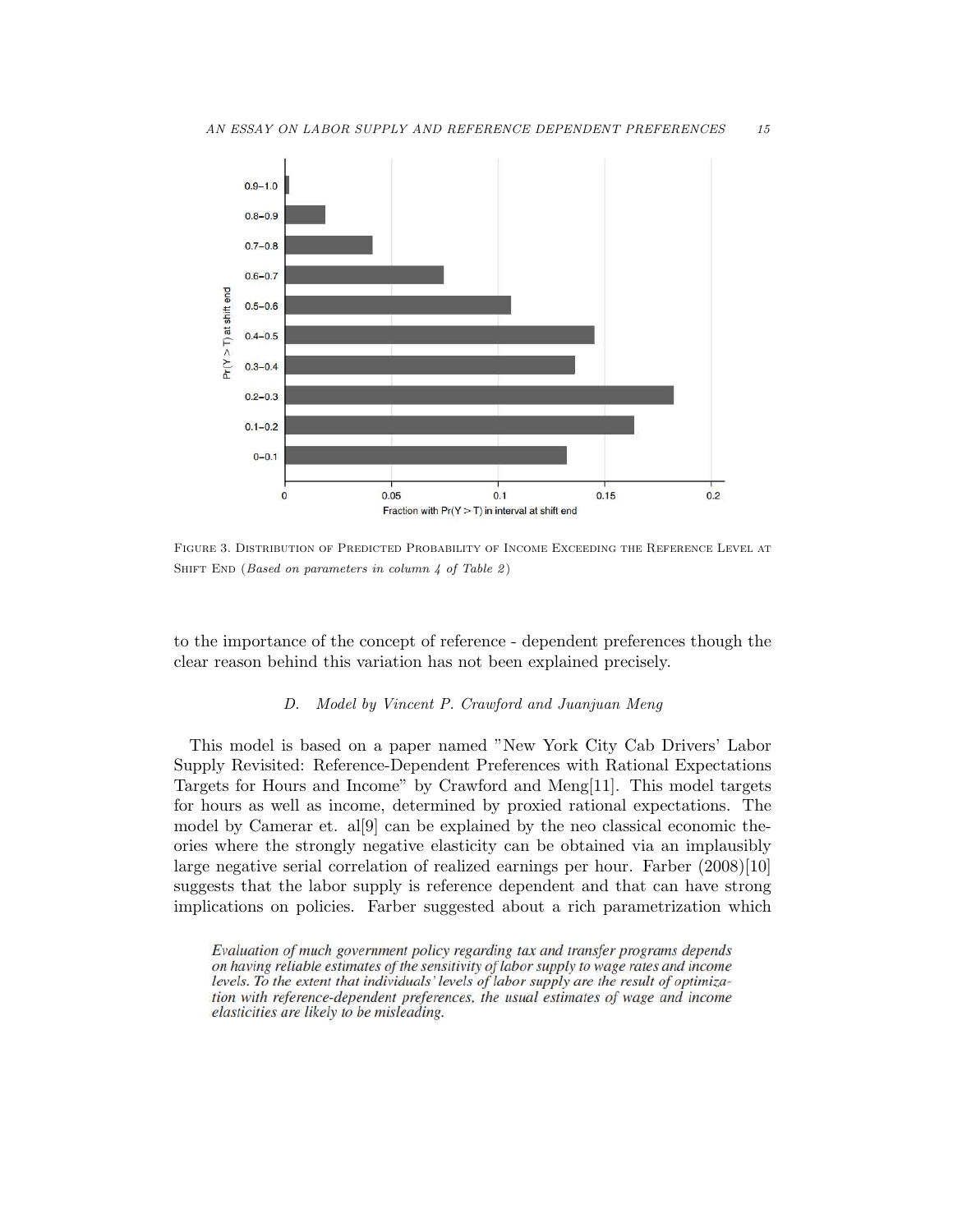

Figure 3. Distribution of Predicted Probability of Income Exceeding the Reference Level at SHIFT END (Based on parameters in column  $4$  of Table 2)

to the importance of the concept of reference - dependent preferences though the clear reason behind this variation has not been explained precisely.

# *D. Model by Vincent P. Crawford and Juanjuan Meng*

This model is based on a paper named "New York City Cab Drivers' Labor Supply Revisited: Reference-Dependent Preferences with Rational Expectations Targets for Hours and Income" by Crawford and Meng[11]. This model targets for hours as well as income, determined by proxied rational expectations. The model by Camerar et. al[9] can be explained by the neo classical economic theories where the strongly negative elasticity can be obtained via an implausibly large negative serial correlation of realized earnings per hour. Farber (2008)[10] suggests that the labor supply is reference dependent and that can have strong implications on policies. Farber suggested about a rich parametrization which

Evaluation of much government policy regarding tax and transfer programs depends on having reliable estimates of the sensitivity of labor supply to wage rates and income levels. To the extent that individuals' levels of labor supply are the result of optimization with reference-dependent preferences, the usual estimates of wage and income elasticities are likely to be misleading.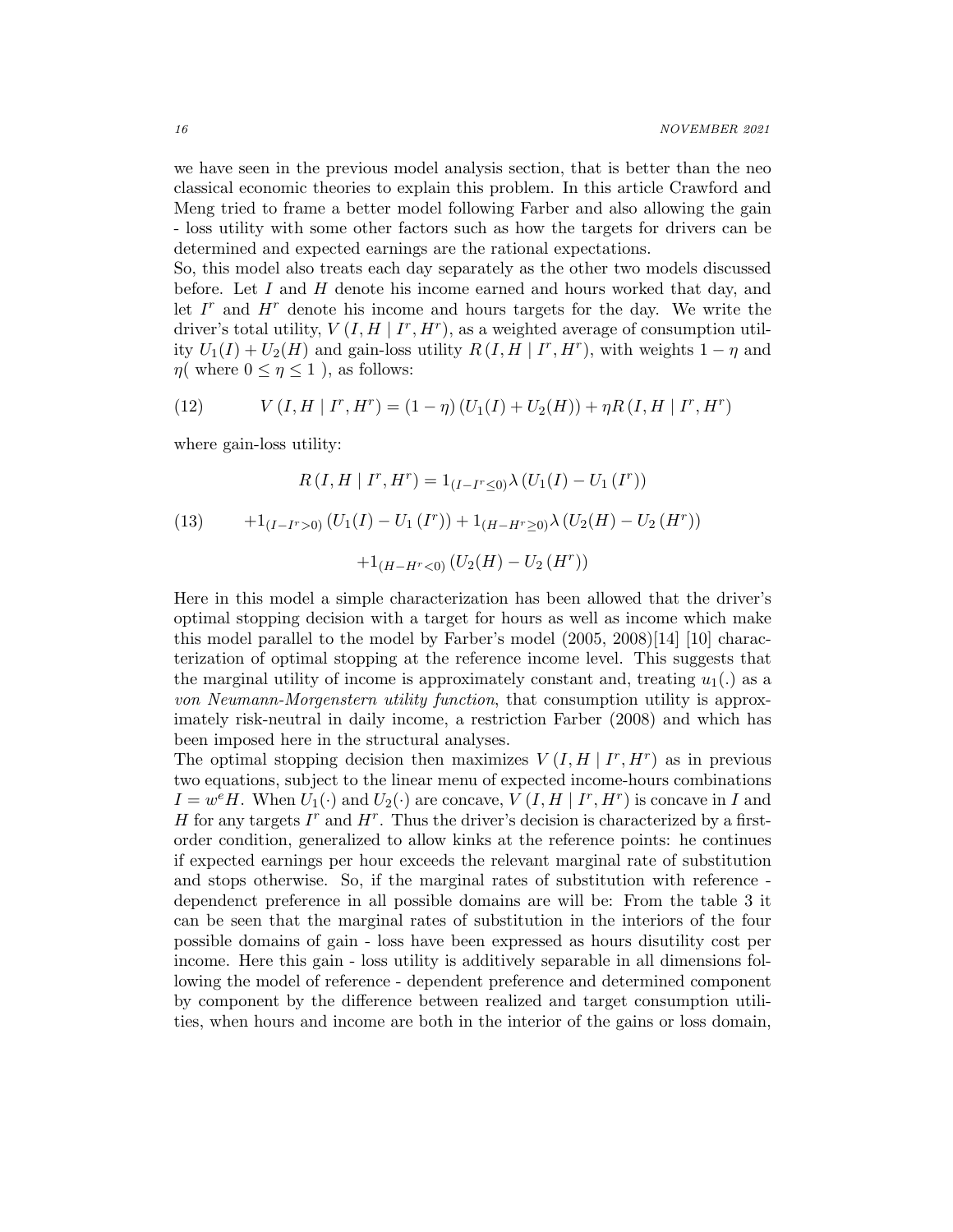we have seen in the previous model analysis section, that is better than the neo classical economic theories to explain this problem. In this article Crawford and Meng tried to frame a better model following Farber and also allowing the gain - loss utility with some other factors such as how the targets for drivers can be determined and expected earnings are the rational expectations.

So, this model also treats each day separately as the other two models discussed before. Let I and H denote his income earned and hours worked that day, and let  $I<sup>r</sup>$  and  $H<sup>r</sup>$  denote his income and hours targets for the day. We write the driver's total utility,  $V(I, H | I^r, H^r)$ , as a weighted average of consumption utility  $U_1(I) + U_2(H)$  and gain-loss utility  $R(I, H | I^r, H^r)$ , with weights  $1 - \eta$  and  $\eta(\text{ where } 0 \leq \eta \leq 1)$ , as follows:

(12) 
$$
V(I, H | I^r, H^r) = (1 - \eta) (U_1(I) + U_2(H)) + \eta R (I, H | I^r, H^r)
$$

where gain-loss utility:

(13) 
$$
R(I, H | I^r, H^r) = 1_{(I-I^r \le 0)} \lambda (U_1(I) - U_1 (I^r))
$$

$$
+ 1_{(I-I^r>0)} (U_1(I) - U_1 (I^r)) + 1_{(H-H^r \ge 0)} \lambda (U_2(H) - U_2 (H^r))
$$

$$
+ 1_{(H-H^r < 0)} (U_2(H) - U_2 (H^r))
$$

Here in this model a simple characterization has been allowed that the driver's optimal stopping decision with a target for hours as well as income which make this model parallel to the model by Farber's model (2005, 2008)[14] [10] characterization of optimal stopping at the reference income level. This suggests that the marginal utility of income is approximately constant and, treating  $u_1(.)$  as a *von Neumann-Morgenstern utility function*, that consumption utility is approximately risk-neutral in daily income, a restriction Farber (2008) and which has been imposed here in the structural analyses.

The optimal stopping decision then maximizes  $V(I, H | I^r, H^r)$  as in previous two equations, subject to the linear menu of expected income-hours combinations  $I = w^e H$ . When  $U_1(\cdot)$  and  $U_2(\cdot)$  are concave,  $V(I, H | I^r, H^r)$  is concave in I and H for any targets  $I^r$  and  $H^r$ . Thus the driver's decision is characterized by a firstorder condition, generalized to allow kinks at the reference points: he continues if expected earnings per hour exceeds the relevant marginal rate of substitution and stops otherwise. So, if the marginal rates of substitution with reference dependenct preference in all possible domains are will be: From the table 3 it can be seen that the marginal rates of substitution in the interiors of the four possible domains of gain - loss have been expressed as hours disutility cost per income. Here this gain - loss utility is additively separable in all dimensions following the model of reference - dependent preference and determined component by component by the difference between realized and target consumption utilities, when hours and income are both in the interior of the gains or loss domain,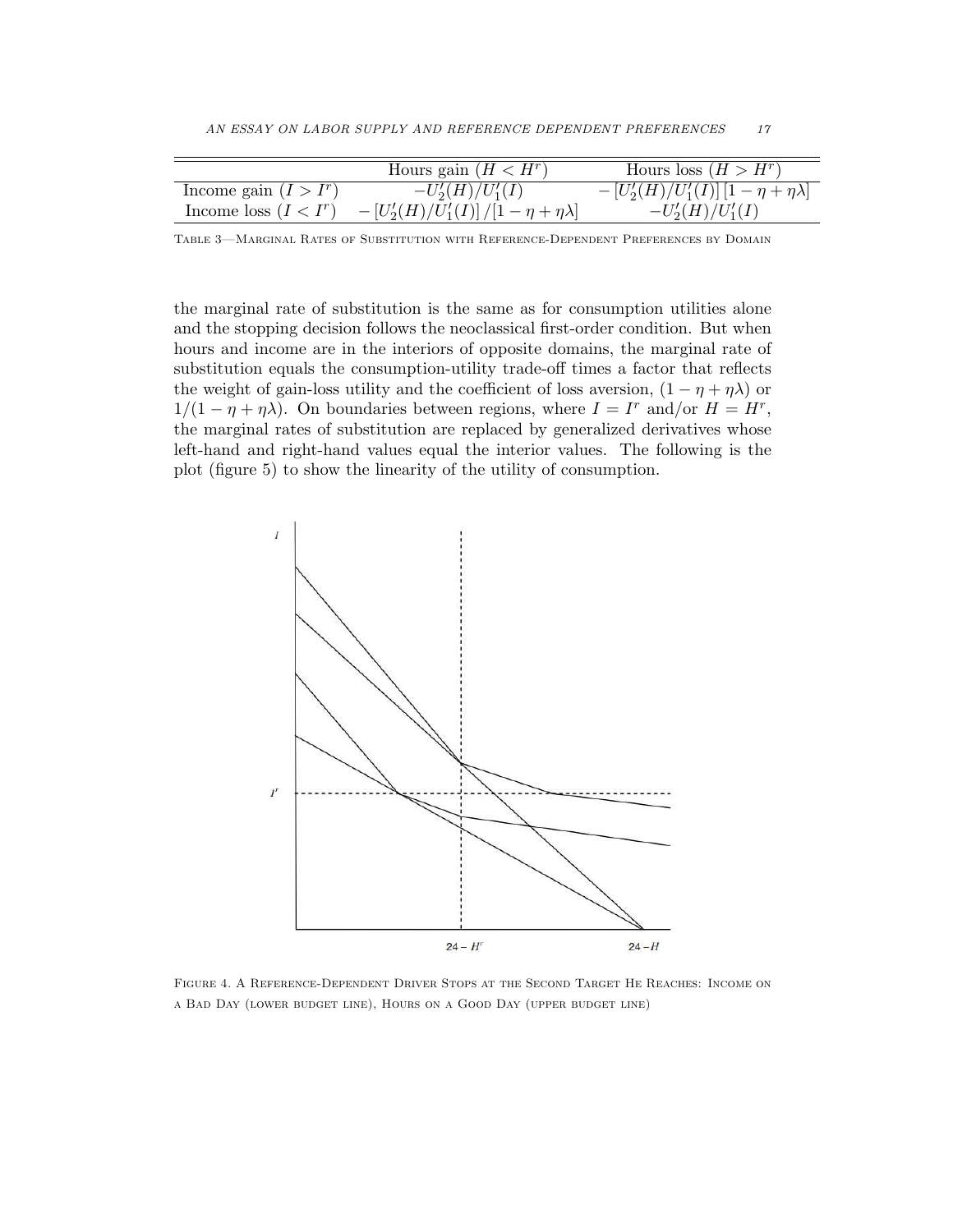|                         | Hours gain $(H < Hr)$                                             | Hours loss $(H > Hr)$                               |
|-------------------------|-------------------------------------------------------------------|-----------------------------------------------------|
| Income gain $(I > I^r)$ | $-U_2'(H)/U_1'(I)$                                                | $- [U'_{2}(H)/U'_{1}(I)] [1 - \eta + \eta \lambda]$ |
| Income loss $(I < I^r)$ | $- \left[U^\prime_2(H)/U^\prime_1(I)\right]/[1-\eta+\eta\lambda]$ | $-U_2'(H)/U_1'(I)$                                  |

Table 3—Marginal Rates of Substitution with Reference-Dependent Preferences by Domain

the marginal rate of substitution is the same as for consumption utilities alone and the stopping decision follows the neoclassical first-order condition. But when hours and income are in the interiors of opposite domains, the marginal rate of substitution equals the consumption-utility trade-off times a factor that reflects the weight of gain-loss utility and the coefficient of loss aversion,  $(1 - \eta + \eta \lambda)$  or  $1/(1 - \eta + \eta \lambda)$ . On boundaries between regions, where  $I = I^r$  and/or  $H = H^r$ , the marginal rates of substitution are replaced by generalized derivatives whose left-hand and right-hand values equal the interior values. The following is the plot (figure 5) to show the linearity of the utility of consumption.



Figure 4. A Reference-Dependent Driver Stops at the Second Target He Reaches: Income on a Bad Day (lower budget line), Hours on a Good Day (upper budget line)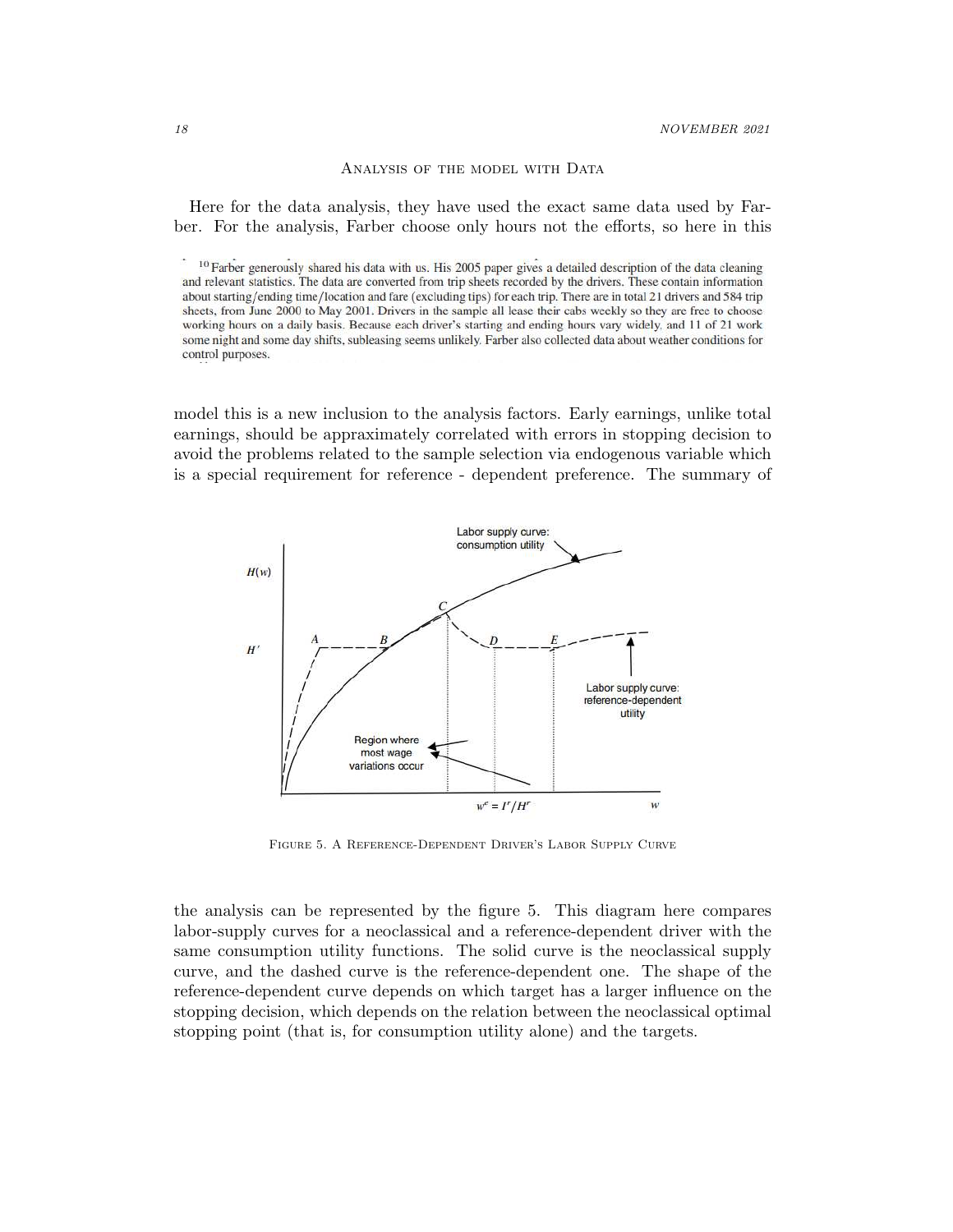ANALYSIS OF THE MODEL WITH DATA

Here for the data analysis, they have used the exact same data used by Farber. For the analysis, Farber choose only hours not the efforts, so here in this

model this is a new inclusion to the analysis factors. Early earnings, unlike total earnings, should be appraximately correlated with errors in stopping decision to avoid the problems related to the sample selection via endogenous variable which is a special requirement for reference - dependent preference. The summary of



Figure 5. A Reference-Dependent Driver's Labor Supply Curve

the analysis can be represented by the figure 5. This diagram here compares labor-supply curves for a neoclassical and a reference-dependent driver with the same consumption utility functions. The solid curve is the neoclassical supply curve, and the dashed curve is the reference-dependent one. The shape of the reference-dependent curve depends on which target has a larger influence on the stopping decision, which depends on the relation between the neoclassical optimal stopping point (that is, for consumption utility alone) and the targets.

<sup>&</sup>lt;sup>10</sup> Farber generously shared his data with us. His 2005 paper gives a detailed description of the data cleaning and relevant statistics. The data are converted from trip sheets recorded by the drivers. These contain information about starting/ending time/location and fare (excluding tips) for each trip. There are in total 21 drivers and 584 trip sheets, from June 2000 to May 2001. Drivers in the sample all lease their cabs weekly so they are free to choose working hours on a daily basis. Because each driver's starting and ending hours vary widely, and 11 of 21 work some night and some day shifts, subleasing seems unlikely. Farber also collected data about weather conditions for control purposes.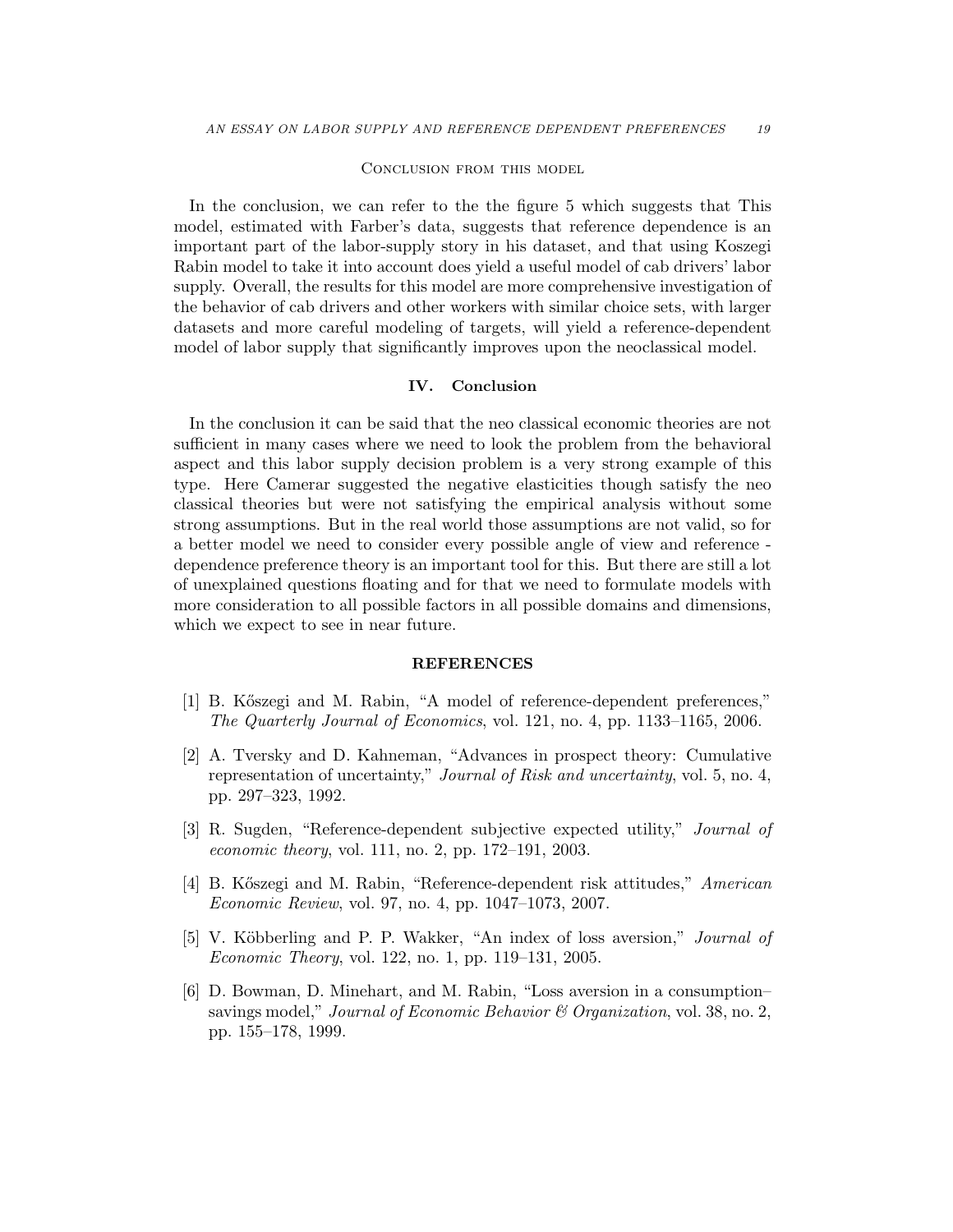#### Conclusion from this model

In the conclusion, we can refer to the the figure 5 which suggests that This model, estimated with Farber's data, suggests that reference dependence is an important part of the labor-supply story in his dataset, and that using Koszegi Rabin model to take it into account does yield a useful model of cab drivers' labor supply. Overall, the results for this model are more comprehensive investigation of the behavior of cab drivers and other workers with similar choice sets, with larger datasets and more careful modeling of targets, will yield a reference-dependent model of labor supply that significantly improves upon the neoclassical model.

#### IV. Conclusion

In the conclusion it can be said that the neo classical economic theories are not sufficient in many cases where we need to look the problem from the behavioral aspect and this labor supply decision problem is a very strong example of this type. Here Camerar suggested the negative elasticities though satisfy the neo classical theories but were not satisfying the empirical analysis without some strong assumptions. But in the real world those assumptions are not valid, so for a better model we need to consider every possible angle of view and reference dependence preference theory is an important tool for this. But there are still a lot of unexplained questions floating and for that we need to formulate models with more consideration to all possible factors in all possible domains and dimensions, which we expect to see in near future.

#### REFERENCES

- [1] B. K˝oszegi and M. Rabin, "A model of reference-dependent preferences," *The Quarterly Journal of Economics*, vol. 121, no. 4, pp. 1133–1165, 2006.
- [2] A. Tversky and D. Kahneman, "Advances in prospect theory: Cumulative representation of uncertainty," *Journal of Risk and uncertainty*, vol. 5, no. 4, pp. 297–323, 1992.
- [3] R. Sugden, "Reference-dependent subjective expected utility," *Journal of economic theory*, vol. 111, no. 2, pp. 172–191, 2003.
- [4] B. K˝oszegi and M. Rabin, "Reference-dependent risk attitudes," *American Economic Review*, vol. 97, no. 4, pp. 1047–1073, 2007.
- [5] V. K¨obberling and P. P. Wakker, "An index of loss aversion," *Journal of Economic Theory*, vol. 122, no. 1, pp. 119–131, 2005.
- [6] D. Bowman, D. Minehart, and M. Rabin, "Loss aversion in a consumption– savings model," *Journal of Economic Behavior & Organization*, vol. 38, no. 2, pp. 155–178, 1999.